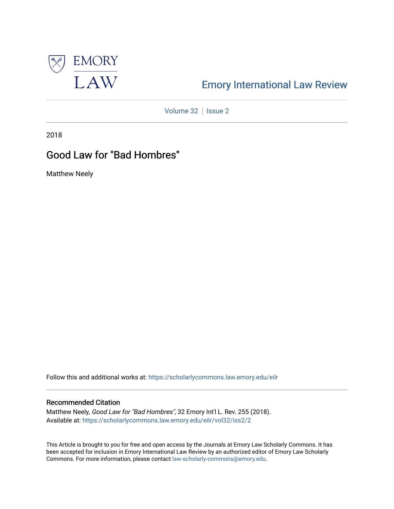

# [Emory International Law Review](https://scholarlycommons.law.emory.edu/eilr)

[Volume 32](https://scholarlycommons.law.emory.edu/eilr/vol32) | [Issue 2](https://scholarlycommons.law.emory.edu/eilr/vol32/iss2)

2018

# Good Law for "Bad Hombres"

Matthew Neely

Follow this and additional works at: [https://scholarlycommons.law.emory.edu/eilr](https://scholarlycommons.law.emory.edu/eilr?utm_source=scholarlycommons.law.emory.edu%2Feilr%2Fvol32%2Fiss2%2F2&utm_medium=PDF&utm_campaign=PDFCoverPages)

## Recommended Citation

Matthew Neely, Good Law for "Bad Hombres", 32 Emory Int'l L. Rev. 255 (2018). Available at: [https://scholarlycommons.law.emory.edu/eilr/vol32/iss2/2](https://scholarlycommons.law.emory.edu/eilr/vol32/iss2/2?utm_source=scholarlycommons.law.emory.edu%2Feilr%2Fvol32%2Fiss2%2F2&utm_medium=PDF&utm_campaign=PDFCoverPages) 

This Article is brought to you for free and open access by the Journals at Emory Law Scholarly Commons. It has been accepted for inclusion in Emory International Law Review by an authorized editor of Emory Law Scholarly Commons. For more information, please contact [law-scholarly-commons@emory.edu](mailto:law-scholarly-commons@emory.edu).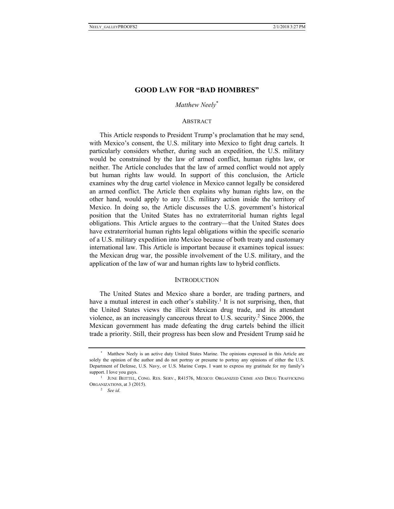## **GOOD LAW FOR "BAD HOMBRES"**

*Matthew Neely*\*

## **ABSTRACT**

This Article responds to President Trump's proclamation that he may send, with Mexico's consent, the U.S. military into Mexico to fight drug cartels. It particularly considers whether, during such an expedition, the U.S. military would be constrained by the law of armed conflict, human rights law, or neither. The Article concludes that the law of armed conflict would not apply but human rights law would. In support of this conclusion, the Article examines why the drug cartel violence in Mexico cannot legally be considered an armed conflict. The Article then explains why human rights law, on the other hand, would apply to any U.S. military action inside the territory of Mexico. In doing so, the Article discusses the U.S. government's historical position that the United States has no extraterritorial human rights legal obligations. This Article argues to the contrary—that the United States does have extraterritorial human rights legal obligations within the specific scenario of a U.S. military expedition into Mexico because of both treaty and customary international law. This Article is important because it examines topical issues: the Mexican drug war, the possible involvement of the U.S. military, and the application of the law of war and human rights law to hybrid conflicts.

### **INTRODUCTION**

The United States and Mexico share a border, are trading partners, and have a mutual interest in each other's stability.<sup>1</sup> It is not surprising, then, that the United States views the illicit Mexican drug trade, and its attendant violence, as an increasingly cancerous threat to U.S. security.<sup>2</sup> Since 2006, the Mexican government has made defeating the drug cartels behind the illicit trade a priority. Still, their progress has been slow and President Trump said he

Matthew Neely is an active duty United States Marine. The opinions expressed in this Article are solely the opinion of the author and do not portray or presume to portray any opinions of either the U.S. Department of Defense, U.S. Navy, or U.S. Marine Corps. I want to express my gratitude for my family's support. I love you guys.<br><sup>1</sup> JUNE BEITTEL, CONG. RES. SERV., R41576, MEXICO: ORGANIZED CRIME AND DRUG TRAFFICKING

ORGANIZATIONS, at 3 (2015). 2 *See id*.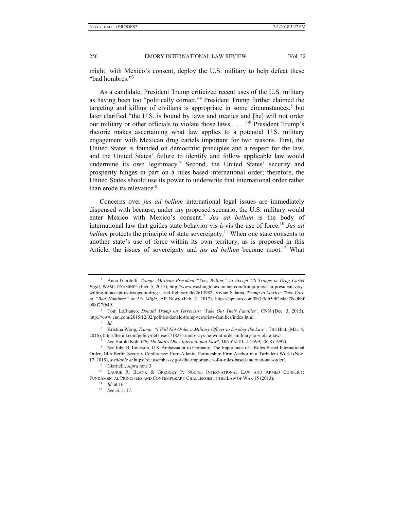might, with Mexico's consent, deploy the U.S. military to help defeat these "bad hombres."3

As a candidate, President Trump criticized recent uses of the U.S. military as having been too "politically correct."<sup>4</sup> President Trump further claimed the targeting and killing of civilians is appropriate in some circumstances,<sup>5</sup> but later clarified "the U.S. is bound by laws and treaties and [he] will not order our military or other officials to violate those laws . . . . "<sup>6</sup> President Trump's rhetoric makes ascertaining what law applies to a potential U.S. military engagement with Mexican drug cartels important for two reasons. First, the United States is founded on democratic principles and a respect for the law, and the United States' failure to identify and follow applicable law would undermine its own legitimacy.<sup>7</sup> Second, the United States' security and prosperity hinges in part on a rules-based international order; therefore, the United States should use its power to underwrite that international order rather than erode its relevance.<sup>8</sup>

Concerns over *jus ad bellum* international legal issues are immediately dispensed with because, under my proposed scenario, the U.S. military would enter Mexico with Mexico's consent.<sup>9</sup> *Jus ad bellum* is the body of international law that guides state behavior vis-à-vis the use of force.<sup>10</sup> *Jus ad bellum* protects the principle of state sovereignty.<sup>11</sup> When one state consents to another state's use of force within its own territory, as is proposed in this Article, the issues of sovereignty and *jus ad bellum* become moot.<sup>12</sup> What

<sup>3</sup> Anna Giaritelli, *Trump: Mexican President "Very Willing" to Accept US Troops in Drug Cartel Fight*, WASH. EXAMINER (Feb. 5, 2017), http://www.washingtonexaminer.com/trump-mexican-president-verywilling-to-accept-us-troops-in-drug-cartel-fight/article/2613982; Vivian Salama, *Trump to Mexico: Take Care of "Bad Hombres" or US Might*, AP NEWS (Feb. 2, 2017), https://apnews.com/0b3f5db59b2e4aa78cdbbf

<sup>008</sup>f27fb49. 4 Tom LoBianco, *Donald Trump on Terrorists: 'Take Out Their Families'*, CNN (Dec. 3, 2015), http://www.cnn.com/2015/12/02/politics/donald-trump-terrorists-families/index.html. 5 *Id.*

<sup>6</sup> Kristina Wong, *Trump: "I Will Not Order a Military Officer to Disobey the Law"*, THE HILL (Mar. 4,

<sup>2016),</sup> http://thehill.com/policy/defense/271823-trump-says-he-wont-order-military-to-violate-laws.<br><sup>7</sup> See Harold Koh, *Why Do States Obey International Law*?, 106 YALE L.J. 2599, 2628 (1997).<br><sup>8</sup> See John B. Emerson, U.S. Order, 14th Berlin Security Conference: Euro-Atlantic Partnership; Firm Anchor in a Turbulent World (Nov.

<sup>17,</sup> 2015), *available at* https://de.usembassy.gov/the-importance-of-a-rules-based-international-order/. 9 Giaritelli, *supra* note 3. 10 LAURIE R. BLANK & GREGORY P. NOONE, INTERNATIONAL LAW AND ARMED CONFLICT: FUNDAMENTAL PRINCIPLES AND CONTEMPORARY CHALLENGES IN THE LAW OF WAR 15 (2013). 11 *Id.* at 16. 12 *See id.* at 17.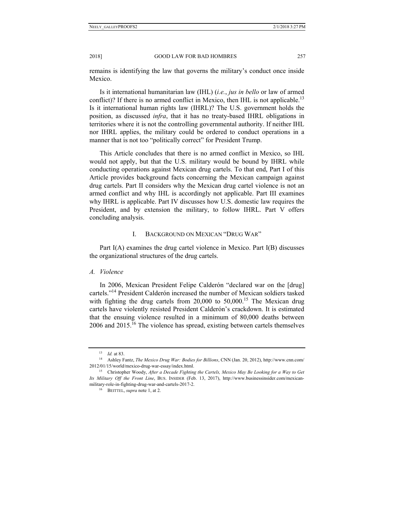remains is identifying the law that governs the military's conduct once inside Mexico.

Is it international humanitarian law (IHL) (*i.e.*, *jus in bello* or law of armed conflict)? If there is no armed conflict in Mexico, then IHL is not applicable.<sup>13</sup> Is it international human rights law (IHRL)? The U.S. government holds the position, as discussed *infra*, that it has no treaty-based IHRL obligations in territories where it is not the controlling governmental authority. If neither IHL nor IHRL applies, the military could be ordered to conduct operations in a manner that is not too "politically correct" for President Trump.

This Article concludes that there is no armed conflict in Mexico, so IHL would not apply, but that the U.S. military would be bound by IHRL while conducting operations against Mexican drug cartels. To that end, Part I of this Article provides background facts concerning the Mexican campaign against drug cartels. Part II considers why the Mexican drug cartel violence is not an armed conflict and why IHL is accordingly not applicable. Part III examines why IHRL is applicable. Part IV discusses how U.S. domestic law requires the President, and by extension the military, to follow IHRL. Part V offers concluding analysis.

## I. BACKGROUND ON MEXICAN "DRUG WAR"

Part I(A) examines the drug cartel violence in Mexico. Part I(B) discusses the organizational structures of the drug cartels.

## *A. Violence*

In 2006, Mexican President Felipe Calderón "declared war on the [drug] cartels."14 President Calderón increased the number of Mexican soldiers tasked with fighting the drug cartels from  $20,000$  to  $50,000$ .<sup>15</sup> The Mexican drug cartels have violently resisted President Calderón's crackdown. It is estimated that the ensuing violence resulted in a minimum of 80,000 deaths between 2006 and 2015.16 The violence has spread, existing between cartels themselves

<sup>13</sup> *Id.* at 83. 14 Ashley Fantz, *The Mexico Drug War: Bodies for Billions*, CNN (Jan. 20, 2012), http://www.cnn.com/ 2012/01/15/world/mexico-drug-war-essay/index.html. 15 Christopher Woody, *After a Decade Fighting the Cartels, Mexico May Be Looking for a Way to Get* 

*Its Military Off the Front Line*, BUS. INSIDER (Feb. 13, 2017), http://www.businessinsider.com/mexicanmilitary-role-in-fighting-drug-war-and-cartels-2017-2.<br><sup>16</sup> BEITTEL, *supra* note 1, at 2.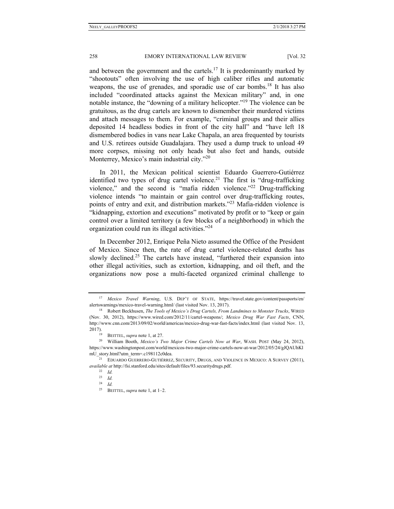and between the government and the cartels.<sup>17</sup> It is predominantly marked by "shootouts" often involving the use of high caliber rifles and automatic weapons, the use of grenades, and sporadic use of car bombs.<sup>18</sup> It has also included "coordinated attacks against the Mexican military" and, in one notable instance, the "downing of a military helicopter."<sup>19</sup> The violence can be gratuitous, as the drug cartels are known to dismember their murdered victims and attach messages to them. For example, "criminal groups and their allies deposited 14 headless bodies in front of the city hall" and "have left 18 dismembered bodies in vans near Lake Chapala, an area frequented by tourists and U.S. retirees outside Guadalajara. They used a dump truck to unload 49 more corpses, missing not only heads but also feet and hands, outside Monterrey, Mexico's main industrial city."<sup>20</sup>

In 2011, the Mexican political scientist Eduardo Guerrero-Gutiérrez identified two types of drug cartel violence.<sup>21</sup> The first is "drug-trafficking" violence," and the second is "mafia ridden violence."<sup>22</sup> Drug-trafficking violence intends "to maintain or gain control over drug-trafficking routes, points of entry and exit, and distribution markets."23 Mafia-ridden violence is "kidnapping, extortion and executions" motivated by profit or to "keep or gain control over a limited territory (a few blocks of a neighborhood) in which the organization could run its illegal activities."24

In December 2012, Enrique Peñ a Nieto assumed the Office of the President of Mexico. Since then, the rate of drug cartel violence-related deaths has slowly declined.<sup>25</sup> The cartels have instead, "furthered their expansion into other illegal activities, such as extortion, kidnapping, and oil theft, and the organizations now pose a multi-faceted organized criminal challenge to

<sup>17</sup> *Mexico Travel Warning*, U.S. DEP'T OF STATE, https://travel.state.gov/content/passports/en/ alertswarnings/mexico-travel-warning.html/ (last visited Nov. 13, 2017). 18 Robert Beckhusen, *The Tools of Mexico's Drug Cartels, From Landmines to Monster Trucks*, WIRED

<sup>(</sup>Nov. 30, 2012), https://www.wired.com/2012/11/cartel-weapons/; *Mexico Drug War Fast Facts*, CNN, http://www.cnn.com/2013/09/02/world/americas/mexico-drug-war-fast-facts/index.html (last visited Nov. 13, 2017). 19 BEITTEL, *supra* note 1, at 27. 20 William Booth, *Mexico's Two Major Crime Cartels Now at War*, WASH. POST (May 24, 2012),

https://www.washingtonpost.com/world/mexicos-two-major-crime-cartels-now-at-war/2012/05/24/gJQAUhKl mU\_story.html?utm\_term=.c198112c0dea.<br><sup>21</sup> EDUARDO GUERRERO-GUTIÉRREZ, SECURITY, DRUGS, AND VIOLENCE IN MEXICO: A SURVEY (2011),

*available at* http://fsi.stanford.edu/sites/default/files/93.securitydrugs.pdf. 22 *Id.*

<sup>23</sup> *Id.* <sup>24</sup> *Id.*

<sup>25</sup> BEITTEL, *supra* note 1, at 1–2.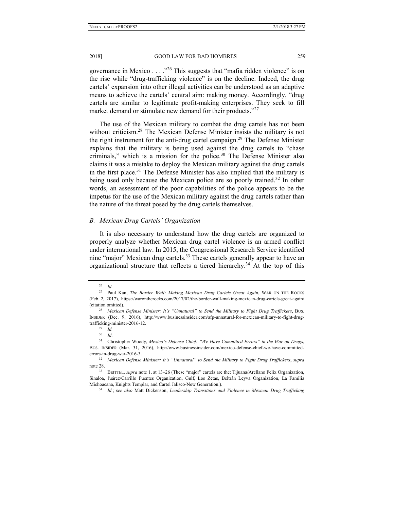governance in Mexico  $\dots$  ."<sup>26</sup> This suggests that "mafia ridden violence" is on the rise while "drug-trafficking violence" is on the decline. Indeed, the drug cartels' expansion into other illegal activities can be understood as an adaptive means to achieve the cartels' central aim: making money. Accordingly, "drug cartels are similar to legitimate profit-making enterprises. They seek to fill market demand or stimulate new demand for their products."<sup>27</sup>

The use of the Mexican military to combat the drug cartels has not been without criticism.<sup>28</sup> The Mexican Defense Minister insists the military is not the right instrument for the anti-drug cartel campaign.<sup>29</sup> The Defense Minister explains that the military is being used against the drug cartels to "chase criminals," which is a mission for the police. $30$  The Defense Minister also claims it was a mistake to deploy the Mexican military against the drug cartels in the first place.<sup>31</sup> The Defense Minister has also implied that the military is being used only because the Mexican police are so poorly trained.<sup>32</sup> In other words, an assessment of the poor capabilities of the police appears to be the impetus for the use of the Mexican military against the drug cartels rather than the nature of the threat posed by the drug cartels themselves.

#### *B. Mexican Drug Cartels' Organization*

It is also necessary to understand how the drug cartels are organized to properly analyze whether Mexican drug cartel violence is an armed conflict under international law. In 2015, the Congressional Research Service identified nine "major" Mexican drug cartels.<sup>33</sup> These cartels generally appear to have an organizational structure that reflects a tiered hierarchy.<sup>34</sup> At the top of this

<sup>26</sup> *Id.*

<sup>27</sup> Paul Kan, *The Border Wall: Making Mexican Drug Cartels Great Again*, WAR ON THE ROCKS (Feb. 2, 2017), https://warontherocks.com/2017/02/the-border-wall-making-mexican-drug-cartels-great-again/

<sup>(</sup>citation omitted). 28 *Mexican Defense Minister: It's "Unnatural" to Send the Military to Fight Drug Traffickers*, BUS. INSIDER (Dec. 9, 2016), http://www.businessinsider.com/afp-unnatural-for-mexican-military-to-fight-drugtrafficking-minister-2016-12.<br><sup>29</sup> *Id.*<br> $30$  *Id* 

<sup>30</sup> *Id*. 31 Christopher Woody, *Mexico's Defense Chief: "We Have Committed Errors" in the War on Drugs*, BUS. INSIDER (Mar. 31, 2016), http://www.businessinsider.com/mexico-defense-chief-we-have-committederrors-in-drug-war-2016-3. 32 *Mexican Defense Minister: It's "Unnatural" to Send the Military to Fight Drug Traffickers*, *supra* 

note 28. 33 BEITTEL, *supra* note 1, at 13–26 (These "major" cartels are the: Tijuana/Arellano Felix Organization,

Sinaloa, Juárez/Carrillo Fuentes Organization, Gulf, Los Zetas, Beltrán Leyva Organization, La Familia Michoacana, Knights Templar, and Cartel Jalisco-New Generation.). 34 *Id.*; s*ee also* Matt Dickenson, *Leadership Transitions and Violence in Mexican Drug Trafficking*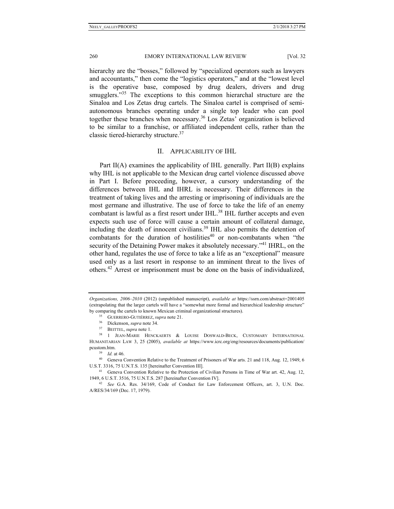hierarchy are the "bosses," followed by "specialized operators such as lawyers and accountants," then come the "logistics operators," and at the "lowest level is the operative base, composed by drug dealers, drivers and drug smugglers."<sup>35</sup> The exceptions to this common hierarchal structure are the Sinaloa and Los Zetas drug cartels. The Sinaloa cartel is comprised of semiautonomous branches operating under a single top leader who can pool together these branches when necessary.36 Los Zetas' organization is believed to be similar to a franchise, or affiliated independent cells, rather than the classic tiered-hierarchy structure.<sup>37</sup>

## II. APPLICABILITY OF IHL

Part II(A) examines the applicability of IHL generally. Part II(B) explains why IHL is not applicable to the Mexican drug cartel violence discussed above in Part I. Before proceeding, however, a cursory understanding of the differences between IHL and IHRL is necessary. Their differences in the treatment of taking lives and the arresting or imprisoning of individuals are the most germane and illustrative. The use of force to take the life of an enemy combatant is lawful as a first resort under IHL.<sup>38</sup> IHL further accepts and even expects such use of force will cause a certain amount of collateral damage, including the death of innocent civilians.39 IHL also permits the detention of combatants for the duration of hostilities $40$  or non-combatants when "the security of the Detaining Power makes it absolutely necessary.<sup>341</sup> IHRL, on the other hand, regulates the use of force to take a life as an "exceptional" measure used only as a last resort in response to an imminent threat to the lives of others.42 Arrest or imprisonment must be done on the basis of individualized,

*Organizations, 2006–2010* (2012) (unpublished manuscript), *available at* https://ssrn.com/abstract=2001405 (extrapolating that the larger cartels will have a "somewhat more formal and hierarchical leadership structure" by comparing the cartels to known Mexican criminal organizational structures).<br>
<sup>35</sup> GUERRERO-GUTIÉRREZ, *supra* note 21.<br>
<sup>36</sup> Dickenson, *supra* note 34.<br>
<sup>37</sup> BEITTEL, *supra* note 1.<br>
<sup>38</sup> 1 JEAN-MARIE HENCKAERTS & LOU

HUMANITARIAN LAW 3, 25 (2005), *available at* https://www.icrc.org/eng/resources/documents/publication/

pcustom.htm.<br><sup>39</sup> *Id.* at 46.<br>40 Geneva Convention Relative to the Treatment of Prisoners of War arts. 21 and 118, Aug. 12, 1949, 6 U.S.T. 3316, 75 U.N.T.S. 135 [hereinafter Convention III].<br><sup>41</sup> Geneva Convention Relative to the Protection of Civilian Persons in Time of War art. 42, Aug. 12,

<sup>1949, 6</sup> U.S.T. 3516, 75 U.N.T.S. 287 [hereinafter Convention IV]. 42 *See* G.A. Res. 34/169, Code of Conduct for Law Enforcement Officers, art. 3, U.N. Doc.

A/RES/34/169 (Dec. 17, 1979).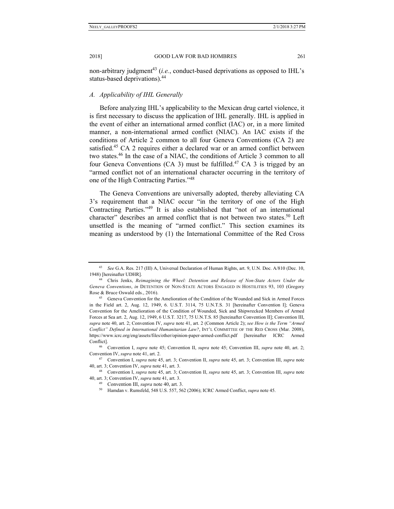non-arbitrary judgment<sup>43</sup> (*i.e.*, conduct-based deprivations as opposed to IHL's status-based deprivations).44

#### *A. Applicability of IHL Generally*

Before analyzing IHL's applicability to the Mexican drug cartel violence, it is first necessary to discuss the application of IHL generally. IHL is applied in the event of either an international armed conflict (IAC) or, in a more limited manner, a non-international armed conflict (NIAC). An IAC exists if the conditions of Article 2 common to all four Geneva Conventions (CA 2) are satisfied.<sup>45</sup> CA 2 requires either a declared war or an armed conflict between two states.46 In the case of a NIAC, the conditions of Article 3 common to all four Geneva Conventions (CA 3) must be fulfilled.<sup>47</sup> CA 3 is trigged by an "armed conflict not of an international character occurring in the territory of one of the High Contracting Parties."48

The Geneva Conventions are universally adopted, thereby alleviating CA 3's requirement that a NIAC occur "in the territory of one of the High Contracting Parties."49 It is also established that "not of an international character" describes an armed conflict that is not between two states.<sup>50</sup> Left unsettled is the meaning of "armed conflict." This section examines its meaning as understood by (1) the International Committee of the Red Cross

40, art. 3; Convention IV, *supra* note 41, art. 3.<br><sup>49</sup> Convention III, *supra* note 40, art. 3.<br><sup>50</sup> Hamdan v. Rumsfeld, 548 U.S. 557, 562 (2006); ICRC Armed Conflict, *supra* note 45.

<sup>43</sup> *See* G.A. Res. 217 (III) A, Universal Declaration of Human Rights, art. 9, U.N. Doc. A/810 (Dec. 10, 1948) [hereinafter UDHR]. 44 Chris Jenks, *Reimagining the Wheel: Detention and Release of Non-State Actors Under the* 

*Geneva Conventions*, *in* DETENTION OF NON-STATE ACTORS ENGAGED IN HOSTILITIES 93, 103 (Gregory

Rose & Bruce Oswald eds., 2016).<br><sup>45</sup> Geneva Convention for the Amelioration of the Condition of the Wounded and Sick in Armed Forces in the Field art. 2, Aug. 12, 1949, 6. U.S.T. 3114, 75 U.N.T.S. 31 [hereinafter Convention I]; Geneva Convention for the Amelioration of the Condition of Wounded, Sick and Shipwrecked Members of Armed Forces at Sea art. 2, Aug. 12, 1949, 6 U.S.T. 3217, 75 U.N.T.S. 85 [hereinafter Convention II]; Convention III, *supra* note 40, art. 2; Convention IV, *supra* note 41, art. 2 (Common Article 2); *see How is the Term "Armed Conflict" Defined in International Humanitarian Law?*, INT'L COMMITTEE OF THE RED CROSS (Mar. 2008), https://www.icrc.org/eng/assets/files/other/opinion-paper-armed-conflict.pdf [hereinafter ICRC Armed Conflict]. 46 Convention I, *supra* note 45; Convention II, *supra* note 45; Convention III, *supra* note 40, art. 2;

Convention IV, *supra* note 41, art. 2. 47 Convention I, *supra* note 45, art. 3; Convention II, *supra* note 45, art. 3; Convention III, *supra* note

<sup>40,</sup> art. 3; Convention IV, *supra* note 41, art. 3. 48 Convention I, *supra* note 45, art. 3; Convention II, *supra* note 45, art. 3; Convention III, *supra* note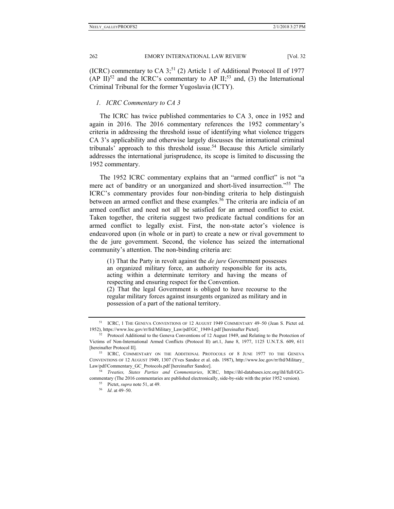(ICRC) commentary to CA  $3$ <sup>51</sup> (2) Article 1 of Additional Protocol II of 1977 (AP II)<sup>52</sup> and the ICRC's commentary to AP II;<sup>53</sup> and, (3) the International Criminal Tribunal for the former Yugoslavia (ICTY).

## *1. ICRC Commentary to CA 3*

The ICRC has twice published commentaries to CA 3, once in 1952 and again in 2016. The 2016 commentary references the 1952 commentary's criteria in addressing the threshold issue of identifying what violence triggers CA 3's applicability and otherwise largely discusses the international criminal tribunals' approach to this threshold issue.<sup>54</sup> Because this Article similarly addresses the international jurisprudence, its scope is limited to discussing the 1952 commentary.

The 1952 ICRC commentary explains that an "armed conflict" is not "a mere act of banditry or an unorganized and short-lived insurrection.<sup>55</sup> The ICRC's commentary provides four non-binding criteria to help distinguish between an armed conflict and these examples.<sup>56</sup> The criteria are indicia of an armed conflict and need not all be satisfied for an armed conflict to exist. Taken together, the criteria suggest two predicate factual conditions for an armed conflict to legally exist. First, the non-state actor's violence is endeavored upon (in whole or in part) to create a new or rival government to the de jure government. Second, the violence has seized the international community's attention. The non-binding criteria are:

(1) That the Party in revolt against the *de jure* Government possesses an organized military force, an authority responsible for its acts, acting within a determinate territory and having the means of respecting and ensuring respect for the Convention.

(2) That the legal Government is obliged to have recourse to the regular military forces against insurgents organized as military and in possession of a part of the national territory.

<sup>&</sup>lt;sup>51</sup> ICRC, 1 THE GENEVA CONVENTIONS OF 12 AUGUST 1949 COMMENTARY 49-50 (Jean S. Pictet ed. 1952), https://www.loc.gov/rr/frd/Military\_Law/pdf/GC\_1949-I.pdf [hereinafter Pictet].<br><sup>52</sup> Protocol Additional to the Geneva Conventions of 12 August 1949, and Relating to the Protection of

Victims of Non-International Armed Conflicts (Protocol II) art.1, June 8, 1977, 1125 U.N.T.S. 609, 611 [hereinafter Protocol II]. 53 ICRC, COMMENTARY ON THE ADDITIONAL PROTOCOLS OF 8 JUNE 1977 TO THE GENEVA

CONVENTIONS OF 12 AUGUST 1949, 1307 (Yves Sandoz et al. eds. 1987), http://www.loc.gov/rr/frd/Military\_ Law/pdf/Commentary\_GC\_Protocols.pdf [hereinafter Sandoz]. 54 *Treaties, States Parties and Commentaries*, ICRC, https://ihl-databases.icrc.org/ihl/full/GCi-

commentary (The 2016 commentaries are published electronically, side-by-side with the prior 1952 version). 55 Pictet, *supra* note 51, at 49. 56 *Id*. at 49–50.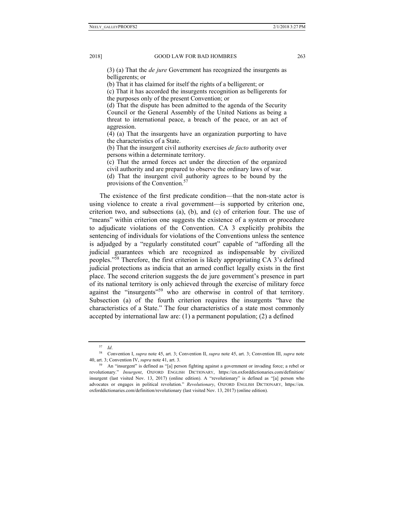(3) (a) That the *de jure* Government has recognized the insurgents as belligerents; or

(b) That it has claimed for itself the rights of a belligerent; or

(c) That it has accorded the insurgents recognition as belligerents for the purposes only of the present Convention; or

(d) That the dispute has been admitted to the agenda of the Security Council or the General Assembly of the United Nations as being a threat to international peace, a breach of the peace, or an act of aggression.

(4) (a) That the insurgents have an organization purporting to have the characteristics of a State.

(b) That the insurgent civil authority exercises *de facto* authority over persons within a determinate territory.

(c) That the armed forces act under the direction of the organized civil authority and are prepared to observe the ordinary laws of war.

(d) That the insurgent civil authority agrees to be bound by the provisions of the Convention.<sup>57</sup>

The existence of the first predicate condition—that the non-state actor is using violence to create a rival government—is supported by criterion one, criterion two, and subsections (a), (b), and (c) of criterion four. The use of "means" within criterion one suggests the existence of a system or procedure to adjudicate violations of the Convention. CA 3 explicitly prohibits the sentencing of individuals for violations of the Conventions unless the sentence is adjudged by a "regularly constituted court" capable of "affording all the judicial guarantees which are recognized as indispensable by civilized peoples."58 Therefore, the first criterion is likely appropriating CA 3's defined judicial protections as indicia that an armed conflict legally exists in the first place. The second criterion suggests the de jure government's presence in part of its national territory is only achieved through the exercise of military force against the "insurgents"<sup>59</sup> who are otherwise in control of that territory. Subsection (a) of the fourth criterion requires the insurgents "have the characteristics of a State." The four characteristics of a state most commonly accepted by international law are: (1) a permanent population; (2) a defined

<sup>57</sup> *Id*. 58 Convention I, *supra* note 45, art. 3; Convention II, *supra* note 45, art. 3; Convention III, *supra* note 40, art. 3; Convention IV, *supra* note 41, art. 3.<br><sup>59</sup> An "insurgent" is defined as "[a] person fighting against a government or invading force; a rebel or

revolutionary." *Insurgent*, OXFORD ENGLISH DICTIONARY, https://en.oxforddictionaries.com/definition/ insurgent (last visited Nov. 13, 2017) (online edition). A "revolutionary" is defined as "[a] person who advocates or engages in political revolution." *Revolutionary*, OXFORD ENGLISH DICTIONARY, https://en. oxforddictionaries.com/definition/revolutionary (last visited Nov. 13, 2017) (online edition).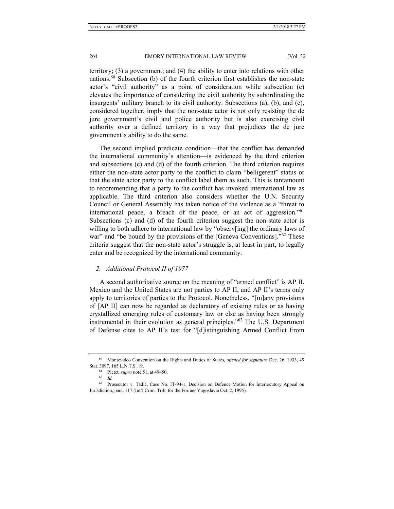territory; (3) a government; and (4) the ability to enter into relations with other nations.<sup>60</sup> Subsection (b) of the fourth criterion first establishes the non-state actor's "civil authority" as a point of consideration while subsection (c) elevates the importance of considering the civil authority by subordinating the insurgents' military branch to its civil authority. Subsections (a), (b), and (c), considered together, imply that the non-state actor is not only resisting the de jure government's civil and police authority but is also exercising civil authority over a defined territory in a way that prejudices the de jure government's ability to do the same.

The second implied predicate condition—that the conflict has demanded the international community's attention—is evidenced by the third criterion and subsections (c) and (d) of the fourth criterion. The third criterion requires either the non-state actor party to the conflict to claim "belligerent" status or that the state actor party to the conflict label them as such. This is tantamount to recommending that a party to the conflict has invoked international law as applicable. The third criterion also considers whether the U.N. Security Council or General Assembly has taken notice of the violence as a "threat to international peace, a breach of the peace, or an act of aggression."  $61$ Subsections (c) and (d) of the fourth criterion suggest the non-state actor is willing to both adhere to international law by "observ[ing] the ordinary laws of war" and "be bound by the provisions of the [Geneva Conventions]."<sup>62</sup> These criteria suggest that the non-state actor's struggle is, at least in part, to legally enter and be recognized by the international community.

### *2. Additional Protocol II of 1977*

A second authoritative source on the meaning of "armed conflict" is AP II. Mexico and the United States are not parties to AP II, and AP II's terms only apply to territories of parties to the Protocol. Nonetheless, "[m]any provisions of [AP II] can now be regarded as declaratory of existing rules or as having crystallized emerging rules of customary law or else as having been strongly instrumental in their evolution as general principles."63 The U.S. Department of Defense cites to AP II's test for "[d]istinguishing Armed Conflict From

<sup>60</sup> Montevideo Convention on the Rights and Duties of States, *opened for signature* Dec. 26, 1933, 49 Stat. 3097, 165 L.N.T.S. 19.<br><sup>61</sup> Pictet, *supra* note 51, at 49–50.<br><sup>62</sup> *Id.* 

<sup>63</sup> Prosecutor v. Tadić, Case No. IT-94-1, Decision on Defence Motion for Interlocutory Appeal on Jurisdiction, para. 117 (Int'l Crim. Trib. for the Former Yugoslavia Oct. 2, 1995).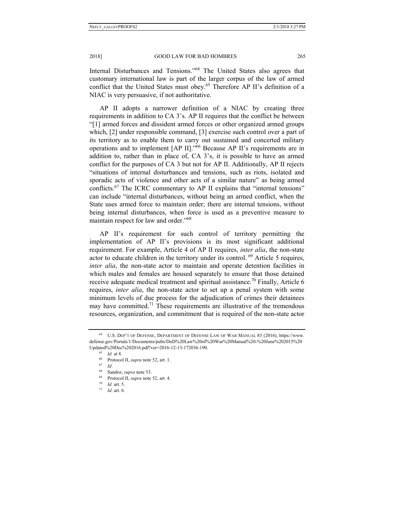Internal Disturbances and Tensions."<sup>64</sup> The United States also agrees that customary international law is part of the larger corpus of the law of armed conflict that the United States must obey.<sup>65</sup> Therefore AP II's definition of a NIAC is very persuasive, if not authoritative.

AP II adopts a narrower definition of a NIAC by creating three requirements in addition to CA 3's. AP II requires that the conflict be between "[1] armed forces and dissident armed forces or other organized armed groups which, [2] under responsible command, [3] exercise such control over a part of its territory as to enable them to carry out sustained and concerted military operations and to implement [AP II]."66 Because AP II's requirements are in addition to, rather than in place of, CA 3's, it is possible to have an armed conflict for the purposes of CA 3 but not for AP II. Additionally, AP II rejects "situations of internal disturbances and tensions, such as riots, isolated and sporadic acts of violence and other acts of a similar nature" as being armed conflicts.<sup>67</sup> The ICRC commentary to AP II explains that "internal tensions" can include "internal disturbances, without being an armed conflict, when the State uses armed force to maintain order; there are internal tensions, without being internal disturbances, when force is used as a preventive measure to maintain respect for law and order."68

AP II's requirement for such control of territory permitting the implementation of AP II's provisions is its most significant additional requirement. For example, Article 4 of AP II requires, *inter alia*, the non-state actor to educate children in the territory under its control. <sup>69</sup> Article 5 requires, *inter alia*, the non-state actor to maintain and operate detention facilities in which males and females are housed separately to ensure that those detained receive adequate medical treatment and spiritual assistance.<sup>70</sup> Finally, Article 6 requires, *inter alia*, the non-state actor to set up a penal system with some minimum levels of due process for the adjudication of crimes their detainees may have committed.<sup>71</sup> These requirements are illustrative of the tremendous resources, organization, and commitment that is required of the non-state actor

<sup>64</sup> U.S. DEP'T OF DEFENSE, DEPARTMENT OF DEFENSE LAW OF WAR MANUAL 83 (2016), https://www. defense.gov/Portals/1/Documents/pubs/DoD%20Law%20of%20War%20Manual%20-%20June%202015%20 Updated%20Dec%202016.pdf?ver=2016-12-13-172036-190.<br>
<sup>65</sup> *Id.* at 8.<br>
<sup>66</sup> Protocol II, *supra* note 52, art. 1.<br>
<sup>67</sup> *Id.*<br>
<sup>88</sup> Sandoz, *supra* note 53.<br>
<sup>69</sup> Protocol II, *supra* note 52, art. 4.<br>
<sup>70</sup> *Id.* art. 5.<br>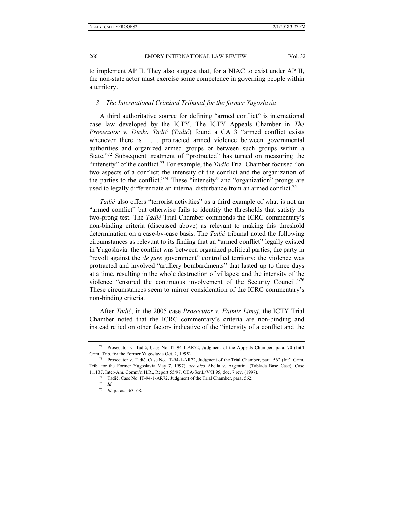to implement AP II. They also suggest that, for a NIAC to exist under AP II, the non-state actor must exercise some competence in governing people within a territory.

## *3. The International Criminal Tribunal for the former Yugoslavia*

A third authoritative source for defining "armed conflict" is international case law developed by the ICTY. The ICTY Appeals Chamber in *The Prosecutor v. Dusko Tadić* (*Tadić*) found a CA 3 "armed conflict exists whenever there is . . . protracted armed violence between governmental authorities and organized armed groups or between such groups within a State."<sup>72</sup> Subsequent treatment of "protracted" has turned on measuring the "intensity" of the conflict.73 For example, the *Tadić* Trial Chamber focused "on two aspects of a conflict; the intensity of the conflict and the organization of the parties to the conflict."74 These "intensity" and "organization" prongs are used to legally differentiate an internal disturbance from an armed conflict.<sup>75</sup>

*Tadić* also offers "terrorist activities" as a third example of what is not an "armed conflict" but otherwise fails to identify the thresholds that satisfy its two-prong test. The *Tadić* Trial Chamber commends the ICRC commentary's non-binding criteria (discussed above) as relevant to making this threshold determination on a case-by-case basis. The *Tadić* tribunal noted the following circumstances as relevant to its finding that an "armed conflict" legally existed in Yugoslavia: the conflict was between organized political parties; the party in "revolt against the *de jure* government" controlled territory; the violence was protracted and involved "artillery bombardments" that lasted up to three days at a time, resulting in the whole destruction of villages; and the intensity of the violence "ensured the continuous involvement of the Security Council."76 These circumstances seem to mirror consideration of the ICRC commentary's non-binding criteria.

After *Tadić*, in the 2005 case *Prosecutor v. Fatmir Limaj*, the ICTY Trial Chamber noted that the ICRC commentary's criteria are non-binding and instead relied on other factors indicative of the "intensity of a conflict and the

<sup>72</sup> Prosecutor v. Tadić, Case No. IT-94-1-AR72, Judgment of the Appeals Chamber, para. 70 (Int'l Crim. Trib. for the Former Yugoslavia Oct. 2, 1995). 73 Prosecutor v. Tadić, Case No. IT-94-1-AR72, Judgment of the Trial Chamber, para. 562 (Int'l Crim.

Trib. for the Former Yugoslavia May 7, 1997); *see also* Abella v. Argentina (Tablada Base Case), Case 11.137, Inter-Am. Comm'n H.R., Report 55/97, OEA/Ser.L/V/II.95, doc. 7 rev. (1997). 74 Tadić, Case No. IT-94-1-AR72, Judgment of the Trial Chamber, para. 562. 75 *Id*. 76 *Id.* paras. 563–68.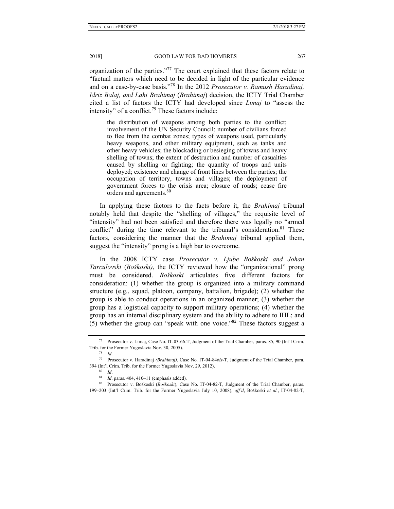organization of the parties."<sup>77</sup> The court explained that these factors relate to "factual matters which need to be decided in light of the particular evidence and on a case-by-case basis."78 In the 2012 *Prosecutor v. Ramush Haradinaj, Idriz Balaj, and Lahi Brahimaj* (*Brahimaj*) decision, the ICTY Trial Chamber cited a list of factors the ICTY had developed since *Limaj* to "assess the intensity" of a conflict.<sup>79</sup> These factors include:

the distribution of weapons among both parties to the conflict; involvement of the UN Security Council; number of civilians forced to flee from the combat zones; types of weapons used, particularly heavy weapons, and other military equipment, such as tanks and other heavy vehicles; the blockading or besieging of towns and heavy shelling of towns; the extent of destruction and number of casualties caused by shelling or fighting; the quantity of troops and units deployed; existence and change of front lines between the parties; the occupation of territory, towns and villages; the deployment of government forces to the crisis area; closure of roads; cease fire orders and agreements.<sup>80</sup>

In applying these factors to the facts before it, the *Brahimaj* tribunal notably held that despite the "shelling of villages," the requisite level of "intensity" had not been satisfied and therefore there was legally no "armed conflict" during the time relevant to the tribunal's consideration.<sup>81</sup> These factors, considering the manner that the *Brahimaj* tribunal applied them, suggest the "intensity" prong is a high bar to overcome.

In the 2008 ICTY case *Prosecutor v. Ljube Boškoski and Johan Tarculovski* (*Boškoski)*, the ICTY reviewed how the "organizational" prong must be considered. *Boškoski* articulates five different factors for consideration: (1) whether the group is organized into a military command structure (e.g*.*, squad, platoon, company, battalion, brigade); (2) whether the group is able to conduct operations in an organized manner; (3) whether the group has a logistical capacity to support military operations; (4) whether the group has an internal disciplinary system and the ability to adhere to IHL; and (5) whether the group can "speak with one voice."<sup>82</sup> These factors suggest a

<sup>77</sup> Prosecutor v. Limaj, Case No. IT-03-66-T, Judgment of the Trial Chamber, paras. 85, 90 (Int'l Crim. Trib. for the Former Yugoslavia Nov. 30, 2005). 78 *Id*. 79 Prosecutor v. Haradinaj *(Brahimaj)*, Case No. IT-04-84*bis*-T, Judgment of the Trial Chamber, para.

<sup>394 (</sup>Int'l Crim. Trib. for the Former Yugoslavia Nov. 29, 2012).<br><sup>80</sup> *Id.*<br><sup>81</sup> *Id.* paras. 404, 410–11 (emphasis added).<br><sup>82</sup> Prosecutor v. Boškoski (*Boškoski*), Case No. IT-04-82-T, Judgment of the Trial Chamber, par

<sup>199–203 (</sup>Int'l Crim. Trib. for the Former Yugoslavia July 10, 2008), *aff'd*, Boškoski *et al.*, IT-04-82-T,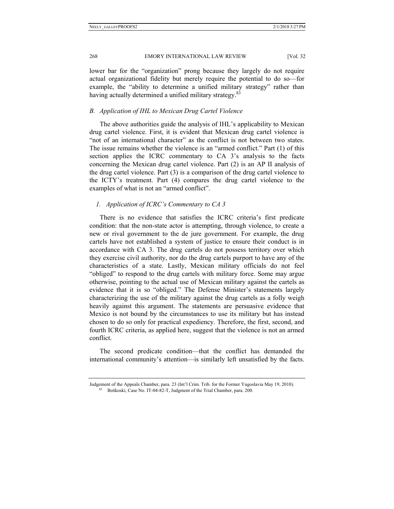lower bar for the "organization" prong because they largely do not require actual organizational fidelity but merely require the potential to do so—for example, the "ability to determine a unified military strategy" rather than having actually determined a unified military strategy.<sup>83</sup>

#### *B. Application of IHL to Mexican Drug Cartel Violence*

The above authorities guide the analysis of IHL's applicability to Mexican drug cartel violence. First, it is evident that Mexican drug cartel violence is "not of an international character" as the conflict is not between two states. The issue remains whether the violence is an "armed conflict." Part (1) of this section applies the ICRC commentary to CA 3's analysis to the facts concerning the Mexican drug cartel violence. Part (2) is an AP II analysis of the drug cartel violence. Part (3) is a comparison of the drug cartel violence to the ICTY's treatment. Part (4) compares the drug cartel violence to the examples of what is not an "armed conflict".

#### *1. Application of ICRC's Commentary to CA 3*

There is no evidence that satisfies the ICRC criteria's first predicate condition: that the non-state actor is attempting, through violence, to create a new or rival government to the de jure government. For example, the drug cartels have not established a system of justice to ensure their conduct is in accordance with CA 3. The drug cartels do not possess territory over which they exercise civil authority, nor do the drug cartels purport to have any of the characteristics of a state. Lastly, Mexican military officials do not feel "obliged" to respond to the drug cartels with military force. Some may argue otherwise, pointing to the actual use of Mexican military against the cartels as evidence that it is so "obliged." The Defense Minister's statements largely characterizing the use of the military against the drug cartels as a folly weigh heavily against this argument. The statements are persuasive evidence that Mexico is not bound by the circumstances to use its military but has instead chosen to do so only for practical expediency. Therefore, the first, second, and fourth ICRC criteria, as applied here, suggest that the violence is not an armed conflict.

The second predicate condition—that the conflict has demanded the international community's attention—is similarly left unsatisfied by the facts.

Judgement of the Appeals Chamber, para. 23 (Int'l Crim. Trib. for the Former Yugoslavia May 19, 2010). 83 Boškoski, Case No. IT-04-82-T, Judgment of the Trial Chamber, para. 200.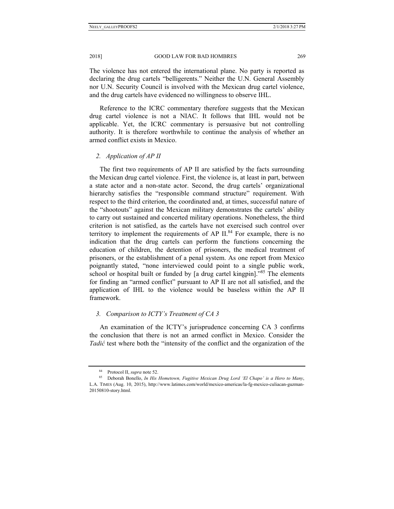The violence has not entered the international plane. No party is reported as declaring the drug cartels "belligerents." Neither the U.N. General Assembly nor U.N. Security Council is involved with the Mexican drug cartel violence, and the drug cartels have evidenced no willingness to observe IHL.

Reference to the ICRC commentary therefore suggests that the Mexican drug cartel violence is not a NIAC. It follows that IHL would not be applicable. Yet, the ICRC commentary is persuasive but not controlling authority. It is therefore worthwhile to continue the analysis of whether an armed conflict exists in Mexico.

## *2. Application of AP II*

The first two requirements of AP II are satisfied by the facts surrounding the Mexican drug cartel violence. First, the violence is, at least in part, between a state actor and a non-state actor. Second, the drug cartels' organizational hierarchy satisfies the "responsible command structure" requirement. With respect to the third criterion, the coordinated and, at times, successful nature of the "shootouts" against the Mexican military demonstrates the cartels' ability to carry out sustained and concerted military operations. Nonetheless, the third criterion is not satisfied, as the cartels have not exercised such control over territory to implement the requirements of AP  $II.^{84}$  For example, there is no indication that the drug cartels can perform the functions concerning the education of children, the detention of prisoners, the medical treatment of prisoners, or the establishment of a penal system. As one report from Mexico poignantly stated, "none interviewed could point to a single public work, school or hospital built or funded by [a drug cartel kingpin]."85 The elements for finding an "armed conflict" pursuant to AP II are not all satisfied, and the application of IHL to the violence would be baseless within the AP II framework.

## *3. Comparison to ICTY's Treatment of CA 3*

An examination of the ICTY's jurisprudence concerning CA 3 confirms the conclusion that there is not an armed conflict in Mexico. Consider the *Tadić* test where both the "intensity of the conflict and the organization of the

<sup>84</sup> Protocol II, *supra* note 52.<br>85 Deborah Bonello, *In His Hometown, Fugitive Mexican Drug Lord 'El Chapo' is a Hero to Many*, L.A. TIMES (Aug. 10, 2015), http://www.latimes.com/world/mexico-americas/la-fg-mexico-culiacan-guzman-20150810-story.html.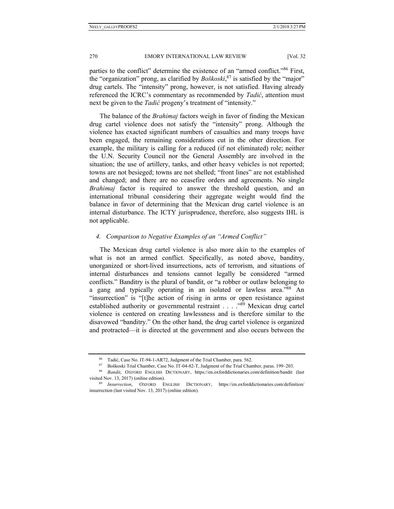parties to the conflict" determine the existence of an "armed conflict."<sup>86</sup> First, the "organization" prong, as clarified by *Boškoski*, 87 is satisfied by the "major" drug cartels. The "intensity" prong, however, is not satisfied. Having already referenced the ICRC's commentary as recommended by *Tadić*, attention must next be given to the *Tadić* progeny's treatment of "intensity."

The balance of the *Brahimaj* factors weigh in favor of finding the Mexican drug cartel violence does not satisfy the "intensity" prong. Although the violence has exacted significant numbers of casualties and many troops have been engaged, the remaining considerations cut in the other direction. For example, the military is calling for a reduced (if not eliminated) role; neither the U.N. Security Council nor the General Assembly are involved in the situation; the use of artillery, tanks, and other heavy vehicles is not reported; towns are not besieged; towns are not shelled; "front lines" are not established and changed; and there are no ceasefire orders and agreements. No single *Brahimaj* factor is required to answer the threshold question, and an international tribunal considering their aggregate weight would find the balance in favor of determining that the Mexican drug cartel violence is an internal disturbance. The ICTY jurisprudence, therefore, also suggests IHL is not applicable.

## *4. Comparison to Negative Examples of an "Armed Conflict"*

The Mexican drug cartel violence is also more akin to the examples of what is not an armed conflict. Specifically, as noted above, banditry, unorganized or short-lived insurrections, acts of terrorism, and situations of internal disturbances and tensions cannot legally be considered "armed conflicts." Banditry is the plural of bandit, or "a robber or outlaw belonging to a gang and typically operating in an isolated or lawless area.<sup>88</sup> An "insurrection" is "[t]he action of rising in arms or open resistance against established authority or governmental restraint . . . . "89 Mexican drug cartel violence is centered on creating lawlessness and is therefore similar to the disavowed "banditry." On the other hand, the drug cartel violence is organized and protracted—it is directed at the government and also occurs between the

<sup>&</sup>lt;sup>86</sup> Tadić, Case No. IT-94-1-AR72, Judgment of the Trial Chamber, para. 562.<br><sup>87</sup> Boškoski Trial Chamber, Case No. IT-04-82-T, Judgment of the Trial Chamber, paras. 199–203.<br><sup>88</sup> Bandit, OXFORD ENGLISH DICTIONARY, https:// visited Nov. 13, 2017) (online edition). 89 *Insurrection*, OXFORD ENGLISH DICTIONARY, https://en.oxforddictionaries.com/definition/

insurrection (last visited Nov. 13, 2017) (online edition).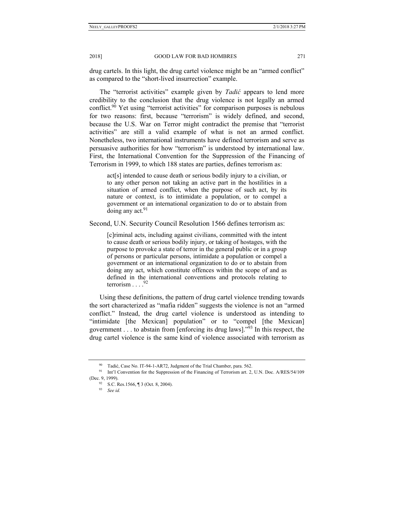drug cartels. In this light, the drug cartel violence might be an "armed conflict" as compared to the "short-lived insurrection" example.

The "terrorist activities" example given by *Tadić* appears to lend more credibility to the conclusion that the drug violence is not legally an armed conflict.<sup>90</sup> Yet using "terrorist activities" for comparison purposes is nebulous for two reasons: first, because "terrorism" is widely defined, and second, because the U.S. War on Terror might contradict the premise that "terrorist activities" are still a valid example of what is not an armed conflict. Nonetheless, two international instruments have defined terrorism and serve as persuasive authorities for how "terrorism" is understood by international law. First, the International Convention for the Suppression of the Financing of Terrorism in 1999, to which 188 states are parties, defines terrorism as:

act[s] intended to cause death or serious bodily injury to a civilian, or to any other person not taking an active part in the hostilities in a situation of armed conflict, when the purpose of such act, by its nature or context, is to intimidate a population, or to compel a government or an international organization to do or to abstain from doing any act.  $91$ 

Second, U.N. Security Council Resolution 1566 defines terrorism as:

[c]riminal acts, including against civilians, committed with the intent to cause death or serious bodily injury, or taking of hostages, with the purpose to provoke a state of terror in the general public or in a group of persons or particular persons, intimidate a population or compel a government or an international organization to do or to abstain from doing any act, which constitute offences within the scope of and as defined in the international conventions and protocols relating to terrorism  $\ldots$ .92

Using these definitions, the pattern of drug cartel violence trending towards the sort characterized as "mafia ridden" suggests the violence is not an "armed conflict." Instead, the drug cartel violence is understood as intending to "intimidate [the Mexican] population" or to "compel [the Mexican] government . . . to abstain from [enforcing its drug laws].<sup> $293$ </sup> In this respect, the drug cartel violence is the same kind of violence associated with terrorism as

<sup>90</sup> Tadić, Case No. IT-94-1-AR72, Judgment of the Trial Chamber, para. 562. 91 Int'l Convention for the Suppression of the Financing of Terrorism art. 2, U.N. Doc. A/RES/54/109 (Dec. 9, 1999).<br><sup>92</sup> S.C. Res.1566, ¶ 3 (Oct. 8, 2004).

<sup>93</sup> *See id.*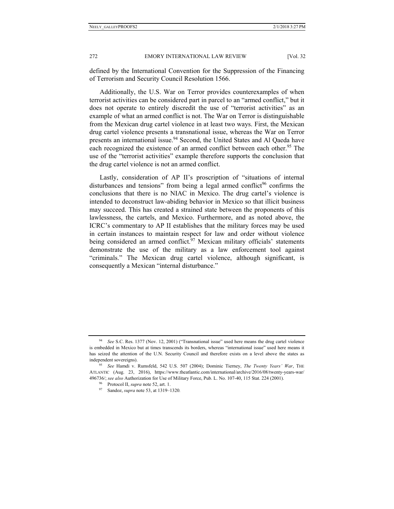defined by the International Convention for the Suppression of the Financing of Terrorism and Security Council Resolution 1566.

Additionally, the U.S. War on Terror provides counterexamples of when terrorist activities can be considered part in parcel to an "armed conflict," but it does not operate to entirely discredit the use of "terrorist activities" as an example of what an armed conflict is not. The War on Terror is distinguishable from the Mexican drug cartel violence in at least two ways. First, the Mexican drug cartel violence presents a transnational issue, whereas the War on Terror presents an international issue.<sup>94</sup> Second, the United States and Al Qaeda have each recognized the existence of an armed conflict between each other.<sup>95</sup> The use of the "terrorist activities" example therefore supports the conclusion that the drug cartel violence is not an armed conflict.

Lastly, consideration of AP II's proscription of "situations of internal disturbances and tensions" from being a legal armed conflict<sup>96</sup> confirms the conclusions that there is no NIAC in Mexico. The drug cartel's violence is intended to deconstruct law-abiding behavior in Mexico so that illicit business may succeed. This has created a strained state between the proponents of this lawlessness, the cartels, and Mexico. Furthermore, and as noted above, the ICRC's commentary to AP II establishes that the military forces may be used in certain instances to maintain respect for law and order without violence being considered an armed conflict.<sup>97</sup> Mexican military officials' statements demonstrate the use of the military as a law enforcement tool against "criminals." The Mexican drug cartel violence, although significant, is consequently a Mexican "internal disturbance."

<sup>94</sup> *See* S.C. Res. 1377 (Nov. 12, 2001) ("Transnational issue" used here means the drug cartel violence is embedded in Mexico but at times transcends its borders, whereas "international issue" used here means it has seized the attention of the U.N. Security Council and therefore exists on a level above the states as independent sovereigns). 95 *See* Hamdi v. Rumsfeld, 542 U.S. 507 (2004); Dominic Tierney, *The Twenty Years' War*, THE

ATLANTIC (Aug. 23, 2016), https://www.theatlantic.com/international/archive/2016/08/twenty-years-war/ 496736/; *see also* Authorization for Use of Military Force, Pub. L. No. 107-40, 115 Stat. 224 (2001).<br><sup>96</sup> Protocol II, *supra* note 52, art. 1.<br><sup>97</sup> Sandoz, *supra* note 53, at 1319–1320.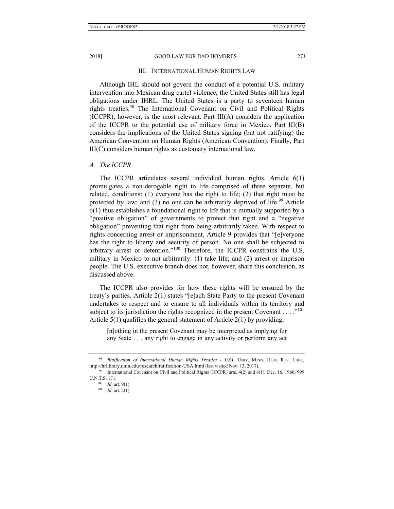#### III. INTERNATIONAL HUMAN RIGHTS LAW

Although IHL should not govern the conduct of a potential U.S. military intervention into Mexican drug cartel violence, the United States still has legal obligations under IHRL. The United States is a party to seventeen human rights treaties.98 The International Covenant on Civil and Political Rights (ICCPR), however, is the most relevant. Part III(A) considers the application of the ICCPR to the potential use of military force in Mexico. Part III(B) considers the implications of the United States signing (but not ratifying) the American Convention on Human Rights (American Convention). Finally, Part III(C) considers human rights as customary international law.

## *A. The ICCPR*

The ICCPR articulates several individual human rights. Article 6(1) promulgates a non-derogable right to life comprised of three separate, but related, conditions: (1) everyone has the right to life; (2) that right must be protected by law; and  $(3)$  no one can be arbitrarily deprived of life.<sup>99</sup> Article 6(1) thus establishes a foundational right to life that is mutually supported by a "positive obligation" of governments to protect that right and a "negative obligation" preventing that right from being arbitrarily taken. With respect to rights concerning arrest or imprisonment, Article 9 provides that "[e]veryone has the right to liberty and security of person. No one shall be subjected to arbitrary arrest or detention."100 Therefore, the ICCPR constrains the U.S. military in Mexico to not arbitrarily: (1) take life; and (2) arrest or imprison people. The U.S. executive branch does not, however, share this conclusion, as discussed above.

The ICCPR also provides for how these rights will be ensured by the treaty's parties. Article 2(1) states "[e]ach State Party to the present Covenant undertakes to respect and to ensure to all individuals within its territory and subject to its jurisdiction the rights recognized in the present Covenant  $\dots$ ."<sup>101</sup> Article 5(1) qualifies the general statement of Article 2(1) by providing:

[n]othing in the present Covenant may be interpreted as implying for any State . . . any right to engage in any activity or perform any act

<sup>98</sup> *Ratification of International Human Rights Treaties - USA*, UNIV. MINN. HUM. RTS. LIBR., http://hrlibrary.umn.edu/research/ratification-USA.html (last visited Nov. 13, 2017).<br><sup>99</sup> International Covenant on Civil and Political Rights (ICCPR) arts. 4(2) and 6(1), Dec. 16, 1966, 999

U.N.T.S. 171. 100 *Id*. art. 9(1). 101 *Id*. art. 2(1).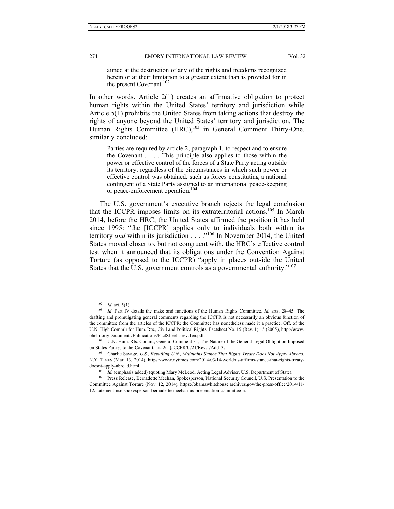aimed at the destruction of any of the rights and freedoms recognized herein or at their limitation to a greater extent than is provided for in the present Covenant.<sup>102</sup>

In other words, Article 2(1) creates an affirmative obligation to protect human rights within the United States' territory and jurisdiction while Article 5(1) prohibits the United States from taking actions that destroy the rights of anyone beyond the United States' territory and jurisdiction. The Human Rights Committee (HRC),<sup>103</sup> in General Comment Thirty-One, similarly concluded:

Parties are required by article 2, paragraph 1, to respect and to ensure the Covenant . . . . This principle also applies to those within the power or effective control of the forces of a State Party acting outside its territory, regardless of the circumstances in which such power or effective control was obtained, such as forces constituting a national contingent of a State Party assigned to an international peace-keeping or peace-enforcement operation.<sup>104</sup>

The U.S. government's executive branch rejects the legal conclusion that the ICCPR imposes limits on its extraterritorial actions.<sup>105</sup> In March 2014, before the HRC, the United States affirmed the position it has held since 1995: "the [ICCPR] applies only to individuals both within its territory *and* within its jurisdiction . . . ."106 In November 2014, the United States moved closer to, but not congruent with, the HRC's effective control test when it announced that its obligations under the Convention Against Torture (as opposed to the ICCPR) "apply in places outside the United States that the U.S. government controls as a governmental authority."107

<sup>102</sup> *Id.* art. 5(1).<br><sup>103</sup> *Id.* Part IV details the make and functions of the Human Rights Committee. *Id.* arts. 28–45. The drafting and promulgating general comments regarding the ICCPR is not necessarily an obvious function of the committee from the articles of the ICCPR; the Committee has nonetheless made it a practice. Off. of the U.N. High Comm'r for Hum. Rts., Civil and Political Rights, Factsheet No. 15 (Rev. 1) 15 (2005), http://www. ohchr.org/Documents/Publications/FactSheet15rev.1en.pdf. 104 U.N. Hum. Rts. Comm., General Comment 31, The Nature of the General Legal Obligation Imposed

on States Parties to the Covenant, art. 2(1), CCPR/C/21/Rev.1/Add13. 105 Charlie Savage, *U.S., Rebuffing U.N., Maintains Stance That Rights Treaty Does Not Apply Abroad*,

N.Y. TIMES (Mar. 13, 2014), https://www.nytimes.com/2014/03/14/world/us-affirms-stance-that-rights-treatydoesnt-apply-abroad.html.<br><sup>106</sup> *Id.* (emphasis added) (quoting Mary McLeod, Acting Legal Adviser, U.S. Department of State).<br><sup>107</sup> Press Release, Bernadette Meehan, Spokesperson, National Security Council, U.S. Presentati

Committee Against Torture (Nov. 12, 2014), https://obamawhitehouse.archives.gov/the-press-office/2014/11/ 12/statement-nsc-spokesperson-bernadette-meehan-us-presentation-committee-a.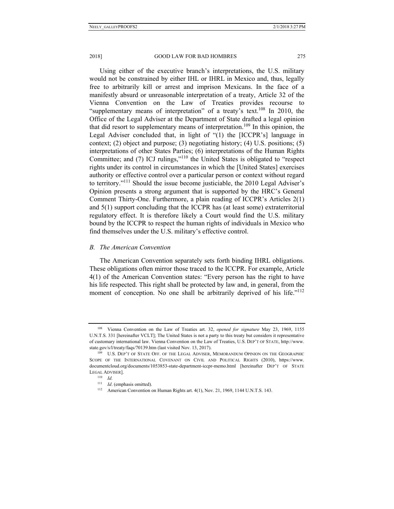Using either of the executive branch's interpretations, the U.S. military would not be constrained by either IHL or IHRL in Mexico and, thus, legally free to arbitrarily kill or arrest and imprison Mexicans. In the face of a manifestly absurd or unreasonable interpretation of a treaty, Article 32 of the Vienna Convention on the Law of Treaties provides recourse to "supplementary means of interpretation" of a treaty's text.108 In 2010, the Office of the Legal Adviser at the Department of State drafted a legal opinion that did resort to supplementary means of interpretation.<sup>109</sup> In this opinion, the Legal Adviser concluded that, in light of "(1) the [ICCPR's] language in context; (2) object and purpose; (3) negotiating history; (4) U.S. positions; (5) interpretations of other States Parties; (6) interpretations of the Human Rights Committee; and (7) ICJ rulings,"110 the United States is obligated to "respect rights under its control in circumstances in which the [United States] exercises authority or effective control over a particular person or context without regard to territory."111 Should the issue become justiciable, the 2010 Legal Adviser's Opinion presents a strong argument that is supported by the HRC's General Comment Thirty-One. Furthermore, a plain reading of ICCPR's Articles 2(1) and 5(1) support concluding that the ICCPR has (at least some) extraterritorial regulatory effect. It is therefore likely a Court would find the U.S. military bound by the ICCPR to respect the human rights of individuals in Mexico who find themselves under the U.S. military's effective control.

#### *B. The American Convention*

The American Convention separately sets forth binding IHRL obligations. These obligations often mirror those traced to the ICCPR. For example, Article 4(1) of the American Convention states: "Every person has the right to have his life respected. This right shall be protected by law and, in general, from the moment of conception. No one shall be arbitrarily deprived of his life."<sup>112</sup>

<sup>108</sup> Vienna Convention on the Law of Treaties art. 32, *opened for signature* May 23, 1969, 1155 U.N.T.S. 331 [hereinafter VCLT]; The United States is not a party to this treaty but considers it representative of customary international law. Vienna Convention on the Law of Treaties, U.S. DEP'T OF STATE, http://www. state.gov/s/l/treaty/faqs/70139.htm (last visited Nov. 13, 2017).<br><sup>109</sup> U.S. DEP'T OF STATE OFF. OF THE LEGAL ADVISER, MEMORANDUM OPINION ON THE GEOGRAPHIC

SCOPE OF THE INTERNATIONAL COVENANT ON CIVIL AND POLITICAL RIGHTS (2010), https://www. documentcloud.org/documents/1053853-state-department-iccpr-memo.html [hereinafter DEP'T OF STATE LEGAL ADVISER].<br><sup>110</sup> *Id.* (emphasis omitted).

<sup>&</sup>lt;sup>112</sup> American Convention on Human Rights art. 4(1), Nov. 21, 1969, 1144 U.N.T.S. 143.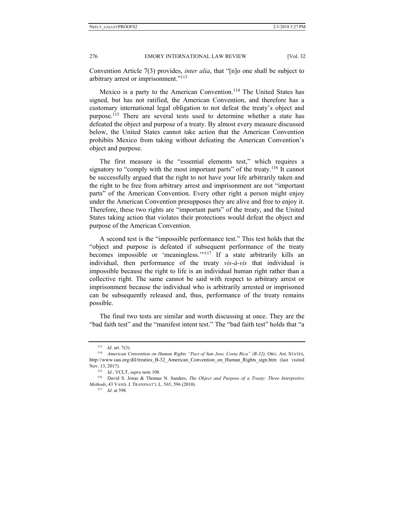Convention Article 7(3) provides, *inter alia*, that "[n]o one shall be subject to arbitrary arrest or imprisonment."<sup>113</sup>

Mexico is a party to the American Convention.<sup>114</sup> The United States has signed, but has not ratified, the American Convention, and therefore has a customary international legal obligation to not defeat the treaty's object and purpose.<sup>115</sup> There are several tests used to determine whether a state has defeated the object and purpose of a treaty. By almost every measure discussed below, the United States cannot take action that the American Convention prohibits Mexico from taking without defeating the American Convention's object and purpose.

The first measure is the "essential elements test," which requires a signatory to "comply with the most important parts" of the treaty.<sup>116</sup> It cannot be successfully argued that the right to not have your life arbitrarily taken and the right to be free from arbitrary arrest and imprisonment are not "important parts" of the American Convention. Every other right a person might enjoy under the American Convention presupposes they are alive and free to enjoy it. Therefore, these two rights are "important parts" of the treaty, and the United States taking action that violates their protections would defeat the object and purpose of the American Convention.

A second test is the "impossible performance test." This test holds that the "object and purpose is defeated if subsequent performance of the treaty becomes impossible or 'meaningless.'"<sup>117</sup> If a state arbitrarily kills an individual, then performance of the treaty *vis-à-vis* that individual is impossible because the right to life is an individual human right rather than a collective right. The same cannot be said with respect to arbitrary arrest or imprisonment because the individual who is arbitrarily arrested or imprisoned can be subsequently released and, thus, performance of the treaty remains possible.

The final two tests are similar and worth discussing at once. They are the "bad faith test" and the "manifest intent test." The "bad faith test" holds that "a

<sup>113</sup> *Id*. art. 7(3). 114 *American Convention on Human Rights "Pact of San Jose, Costa Rica" (B-32)*, ORG. AM. STATES, http://www.oas.org/dil/treaties\_B-32\_American\_Convention\_on\_Human\_Rights\_sign.htm (last visited Nov. 13, 2017).<br><sup>115</sup> *Id.*; VCLT, *supra* note 108.<br><sup>116</sup> David S. Jonas & Thomas N. Sanders, *The Object and Purpose of a Treaty: Three Interpretive* 

*Methods*, 43 VAND. J. TRANSNAT'L L. 565, 596 (2010). 117 *Id*. at 598.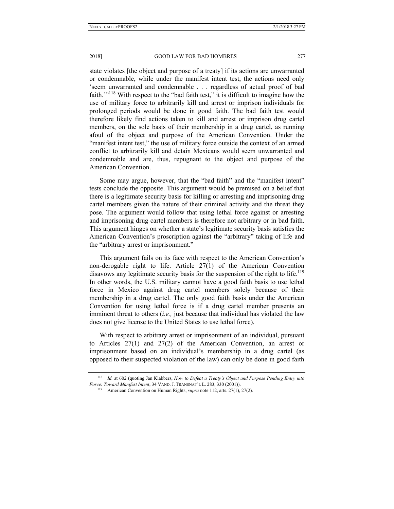state violates [the object and purpose of a treaty] if its actions are unwarranted or condemnable, while under the manifest intent test, the actions need only 'seem unwarranted and condemnable . . . regardless of actual proof of bad faith.'"<sup>118</sup> With respect to the "bad faith test," it is difficult to imagine how the use of military force to arbitrarily kill and arrest or imprison individuals for prolonged periods would be done in good faith. The bad faith test would therefore likely find actions taken to kill and arrest or imprison drug cartel members, on the sole basis of their membership in a drug cartel, as running afoul of the object and purpose of the American Convention. Under the "manifest intent test," the use of military force outside the context of an armed conflict to arbitrarily kill and detain Mexicans would seem unwarranted and condemnable and are, thus, repugnant to the object and purpose of the American Convention.

Some may argue, however, that the "bad faith" and the "manifest intent" tests conclude the opposite. This argument would be premised on a belief that there is a legitimate security basis for killing or arresting and imprisoning drug cartel members given the nature of their criminal activity and the threat they pose. The argument would follow that using lethal force against or arresting and imprisoning drug cartel members is therefore not arbitrary or in bad faith. This argument hinges on whether a state's legitimate security basis satisfies the American Convention's proscription against the "arbitrary" taking of life and the "arbitrary arrest or imprisonment."

This argument fails on its face with respect to the American Convention's non-derogable right to life. Article 27(1) of the American Convention disavows any legitimate security basis for the suspension of the right to life.<sup>119</sup> In other words, the U.S. military cannot have a good faith basis to use lethal force in Mexico against drug cartel members solely because of their membership in a drug cartel. The only good faith basis under the American Convention for using lethal force is if a drug cartel member presents an imminent threat to others (*i.e.,* just because that individual has violated the law does not give license to the United States to use lethal force).

With respect to arbitrary arrest or imprisonment of an individual, pursuant to Articles 27(1) and 27(2) of the American Convention, an arrest or imprisonment based on an individual's membership in a drug cartel (as opposed to their suspected violation of the law) can only be done in good faith

<sup>118</sup> *Id.* at 602 (quoting Jan Klabbers, *How to Defeat a Treaty's Object and Purpose Pending Entry into Force: Toward Manifest Intent*, 34 VAND. J. TRANSNAT'L L. 283, 330 (2001)). 119 American Convention on Human Rights, *supra* note 112, arts. 27(1), 27(2).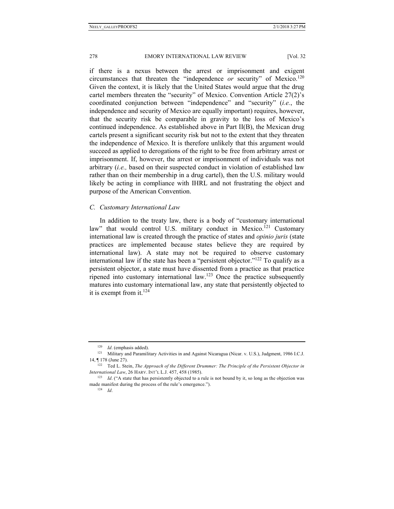if there is a nexus between the arrest or imprisonment and exigent circumstances that threaten the "independence *or* security" of Mexico.<sup>120</sup> Given the context, it is likely that the United States would argue that the drug cartel members threaten the "security" of Mexico. Convention Article 27(2)'s coordinated conjunction between "independence" and "security" (*i.e.*, the independence and security of Mexico are equally important) requires, however, that the security risk be comparable in gravity to the loss of Mexico's continued independence. As established above in Part II(B), the Mexican drug cartels present a significant security risk but not to the extent that they threaten the independence of Mexico. It is therefore unlikely that this argument would succeed as applied to derogations of the right to be free from arbitrary arrest or imprisonment. If, however, the arrest or imprisonment of individuals was not arbitrary (*i.e.,* based on their suspected conduct in violation of established law rather than on their membership in a drug cartel), then the U.S. military would likely be acting in compliance with IHRL and not frustrating the object and purpose of the American Convention.

### *C. Customary International Law*

In addition to the treaty law, there is a body of "customary international law" that would control U.S. military conduct in Mexico.<sup>121</sup> Customary international law is created through the practice of states and *opinio juris* (state practices are implemented because states believe they are required by international law). A state may not be required to observe customary international law if the state has been a "persistent objector."<sup>122</sup> To qualify as a persistent objector, a state must have dissented from a practice as that practice ripened into customary international law.123 Once the practice subsequently matures into customary international law, any state that persistently objected to it is exempt from it. $124$ 

<sup>120</sup> *Id.* (emphasis added). 121 *Id.* (emphasis added). 121 Military Activities in and Against Nicaragua (Nicar. v. U.S.), Judgment, 1986 I.C.J. 14, ¶ 178 (June 27). 122 Ted L. Stein, *The Approach of the Different Drummer: The Principle of the Persistent Objector in* 

*International Law*, 26 HARV. INT'L L.J. 457, 458 (1985).<br><sup>123</sup> *Id.* ("A state that has persistently objected to a rule is not bound by it, so long as the objection was

made manifest during the process of the rule's emergence."). 124 *Id*.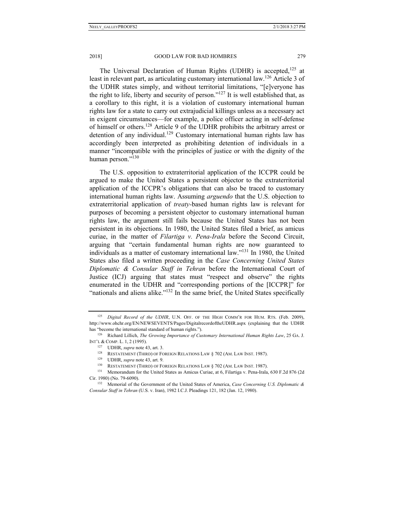The Universal Declaration of Human Rights (UDHR) is accepted, $125$  at least in relevant part, as articulating customary international law.<sup>126</sup> Article 3 of the UDHR states simply, and without territorial limitations, "[e]veryone has the right to life, liberty and security of person."<sup>127</sup> It is well established that, as a corollary to this right, it is a violation of customary international human rights law for a state to carry out extrajudicial killings unless as a necessary act in exigent circumstances—for example, a police officer acting in self-defense of himself or others.<sup>128</sup> Article 9 of the UDHR prohibits the arbitrary arrest or detention of any individual.<sup>129</sup> Customary international human rights law has accordingly been interpreted as prohibiting detention of individuals in a manner "incompatible with the principles of justice or with the dignity of the human person."<sup>130</sup>

The U.S. opposition to extraterritorial application of the ICCPR could be argued to make the United States a persistent objector to the extraterritorial application of the ICCPR's obligations that can also be traced to customary international human rights law. Assuming *arguendo* that the U.S. objection to extraterritorial application of *treaty-*based human rights law is relevant for purposes of becoming a persistent objector to customary international human rights law, the argument still fails because the United States has not been persistent in its objections. In 1980, the United States filed a brief, as amicus curiae, in the matter of *Filartiga v. Pena-Irala* before the Second Circuit, arguing that "certain fundamental human rights are now guaranteed to individuals as a matter of customary international law."131 In 1980, the United States also filed a written proceeding in the *Case Concerning United States Diplomatic & Consular Staff in Tehran* before the International Court of Justice (ICJ) arguing that states must "respect and observe" the rights enumerated in the UDHR and "corresponding portions of the [ICCPR]" for "nationals and aliens alike."<sup>132</sup> In the same brief, the United States specifically

<sup>&</sup>lt;sup>125</sup> *Digital Record of the UDHR*, U.N. OFF. OF THE HIGH COMM'R FOR HUM. RTS. (Feb. 2009), http://www.ohchr.org/EN/NEWSEVENTS/Pages/DigitalrecordoftheUDHR.aspx (explaining that the UDHR

has "become the international standard of human rights."). 126 Richard Lillich, *The Growing Importance of Customary International Human Rights Law*, 25 GA. J. INT'L & COMP. L. 1, 2 (1995).<br>
<sup>127</sup> UDHR, *supra* note 43, art. 3.<br>
<sup>128</sup> RESTATEMENT (THIRD) OF FOREIGN RELATIONS LAW § 702 (AM. LAW INST. 1987).<br>
<sup>129</sup> UDHR, *supra* note 43, art. 9.<br>
<sup>130</sup> RESTATEMENT (THIRD) OF FOREI

Cir. 1980) (No. 79-6090). 132 Memorial of the Government of the United States of America, *Case Concerning U.S. Diplomatic &* 

*Consular Staff in Tehran* (U.S. v. Iran), 1982 I.C.J. Pleadings 121, 182 (Jan. 12, 1980).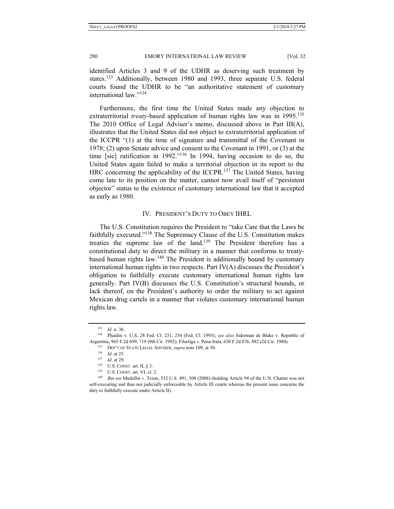identified Articles 3 and 9 of the UDHR as deserving such treatment by states.<sup>133</sup> Additionally, between 1980 and 1993, three separate U.S. federal courts found the UDHR to be "an authoritative statement of customary international law."134

Furthermore, the first time the United States made any objection to extraterritorial *treaty*-based application of human rights law was in 1995.<sup>135</sup> The 2010 Office of Legal Adviser's memo, discussed above in Part III(A), illustrates that the United States did not object to extraterritorial application of the ICCPR "(1) at the time of signature and transmittal of the Covenant in 1978; (2) upon Senate advice and consent to the Covenant in 1991, or (3) at the time [sic] ratification in 1992."136 In 1994, having occasion to do so, the United States again failed to make a territorial objection in its report to the HRC concerning the applicability of the ICCPR.<sup>137</sup> The United States, having come late to its position on the matter, cannot now avail itself of "persistent objector" status to the existence of customary international law that it accepted as early as 1980.

### IV. PRESIDENT'S DUTY TO OBEY IHRL

The U.S. Constitution requires the President to "take Care that the Laws be faithfully executed."138 The Supremacy Clause of the U.S. Constitution makes treaties the supreme law of the land.139 The President therefore has a constitutional duty to direct the military in a manner that conforms to treatybased human rights law.<sup>140</sup> The President is additionally bound by customary international human rights in two respects. Part IV(A) discusses the President's obligation to faithfully execute customary international human rights law generally. Part IV(B) discusses the U.S. Constitution's structural bounds, or lack thereof, on the President's authority to order the military to act against Mexican drug cartels in a manner that violates customary international human rights law.

<sup>133</sup> *Id*. n. 36. 134 Phaidin v. U.S, 28 Fed. Cl. 231, 234 (Fed. Cl. 1993); *see also* Siderman de Blake v. Republic of Argentina, 965 F.2d 699, 719 (9th Cir. 1992); Filartiga v. Pena-Irala, 630 F.2d 876, 882 (2d Cir. 1980).<br>
<sup>135</sup> DEP'T OF STATE LEGAL ADVISER, *supra* note 109, at 30.<br>
<sup>136</sup> Id. at 25.<br>
<sup>137</sup> Id. at 29.<br>
<sup>138</sup> U.S. CONST.

self-executing and thus not judicially enforceable by Article III courts whereas the present issue concerns the duty to faithfully execute under Article II).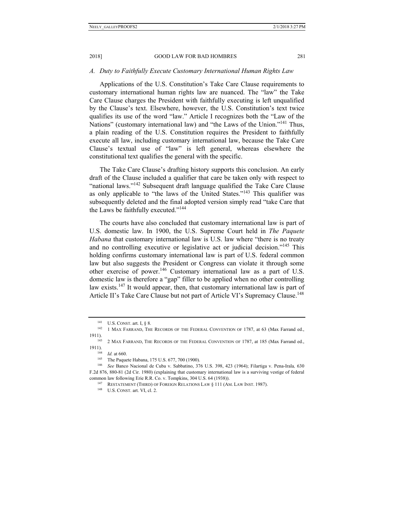#### *A. Duty to Faithfully Execute Customary International Human Rights Law*

Applications of the U.S. Constitution's Take Care Clause requirements to customary international human rights law are nuanced. The "law" the Take Care Clause charges the President with faithfully executing is left unqualified by the Clause's text. Elsewhere, however, the U.S. Constitution's text twice qualifies its use of the word "law." Article I recognizes both the "Law of the Nations" (customary international law) and "the Laws of the Union."<sup>141</sup> Thus, a plain reading of the U.S. Constitution requires the President to faithfully execute all law, including customary international law, because the Take Care Clause's textual use of "law" is left general, whereas elsewhere the constitutional text qualifies the general with the specific.

The Take Care Clause's drafting history supports this conclusion. An early draft of the Clause included a qualifier that care be taken only with respect to "national laws."<sup>142</sup> Subsequent draft language qualified the Take Care Clause as only applicable to "the laws of the United States."143 This qualifier was subsequently deleted and the final adopted version simply read "take Care that the Laws be faithfully executed."<sup>144</sup>

The courts have also concluded that customary international law is part of U.S. domestic law. In 1900, the U.S. Supreme Court held in *The Paquete Habana* that customary international law is U.S. law where "there is no treaty and no controlling executive or legislative act or judicial decision."<sup>145</sup> This holding confirms customary international law is part of U.S. federal common law but also suggests the President or Congress can violate it through some other exercise of power.<sup>146</sup> Customary international law as a part of U.S. domestic law is therefore a "gap" filler to be applied when no other controlling law exists.<sup>147</sup> It would appear, then, that customary international law is part of Article II's Take Care Clause but not part of Article VI's Supremacy Clause.<sup>148</sup>

<sup>&</sup>lt;sup>141</sup> U.S. CONST. art. I, § 8. 142 1 MAX FARRAND, THE RECORDS OF THE FEDERAL CONVENTION OF 1787, at 63 (Max Farrand ed., 1911).<br><sup>143</sup> 2 MAX FARRAND, THE RECORDS OF THE FEDERAL CONVENTION OF 1787, at 185 (Max Farrand ed.,

<sup>1911).&</sup>lt;br><sup>144</sup> *Id.* at 660.<br><sup>145</sup> The Paquete Habana, 175 U.S. 677, 700 (1900).<br><sup>146</sup> *See* Banco Nacional de Cuba v. Sabbatino, 376 U.S. 398, 423 (1964); Filartiga v. Pena-Irala, 630

F.2d 876, 880-81 (2d Cir. 1980) (explaining that customary international law is a surviving vestige of federal common law following Erie R.R. Co. v. Tompkins, 304 U.S. 64 (1938)).<br><sup>147</sup> RESTATEMENT (THIRD) OF FOREIGN RELATIONS LAW § 111 (AM. LAW INST. 1987).<br><sup>148</sup> U.S. CONST. art. VI, cl. 2.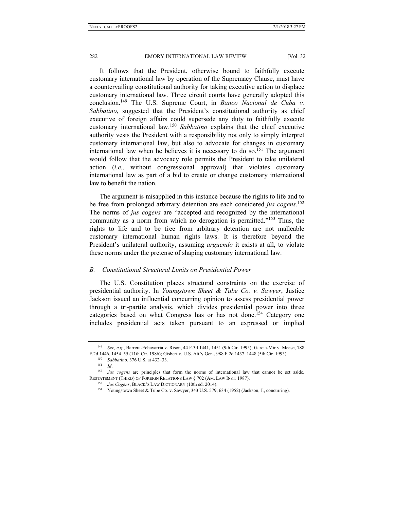It follows that the President, otherwise bound to faithfully execute customary international law by operation of the Supremacy Clause, must have a countervailing constitutional authority for taking executive action to displace customary international law. Three circuit courts have generally adopted this conclusion.149 The U.S. Supreme Court, in *Banco Nacional de Cuba v. Sabbatino*, suggested that the President's constitutional authority as chief executive of foreign affairs could supersede any duty to faithfully execute customary international law.<sup>150</sup> *Sabbatino* explains that the chief executive authority vests the President with a responsibility not only to simply interpret customary international law, but also to advocate for changes in customary international law when he believes it is necessary to do so.<sup>151</sup> The argument would follow that the advocacy role permits the President to take unilateral action (*i.e.,* without congressional approval) that violates customary international law as part of a bid to create or change customary international law to benefit the nation.

The argument is misapplied in this instance because the rights to life and to be free from prolonged arbitrary detention are each considered *jus cogens*. 152 The norms of *jus cogens* are "accepted and recognized by the international community as a norm from which no derogation is permitted."<sup>153</sup> Thus, the rights to life and to be free from arbitrary detention are not malleable customary international human rights laws. It is therefore beyond the President's unilateral authority, assuming *arguendo* it exists at all, to violate these norms under the pretense of shaping customary international law.

## *B. Constitutional Structural Limits on Presidential Power*

The U.S. Constitution places structural constraints on the exercise of presidential authority. In *Youngstown Sheet & Tube Co. v. Sawyer*, Justice Jackson issued an influential concurring opinion to assess presidential power through a tri-partite analysis, which divides presidential power into three categories based on what Congress has or has not done.<sup>154</sup> Category one includes presidential acts taken pursuant to an expressed or implied

<sup>149</sup> *See, e.g.*, Barrera-Echavarria v. Rison, 44 F.3d 1441, 1451 (9th Cir. 1995); Garcia-Mir v. Meese, 788

F.2d 1446, 1454–55 (11th Cir. 1986); Gisbert v. U.S. Att'y Gen., 988 F.2d 1437, 1448 (5th Cir. 1993).<br><sup>150</sup> Sabbatino, 376 U.S. at 432–33.<br><sup>151</sup> Id.<br><sup>152</sup> Jus cogens are principles that form the norms of international law RESTATEMENT (THIRD) OF FOREIGN RELATIONS LAW § 702 (AM. LAW INST. 1987).<br><sup>153</sup> Jus Cogens, BLACK'S LAW DICTIONARY (10th ed. 2014).<br><sup>154</sup> Youngstown Sheet & Tube Co. v. Sawyer, 343 U.S. 579, 634 (1952) (Jackson, J., concurr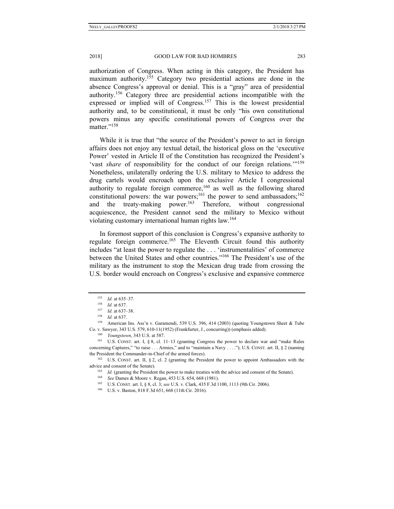authorization of Congress. When acting in this category, the President has maximum authority.<sup>155</sup> Category two presidential actions are done in the absence Congress's approval or denial. This is a "gray" area of presidential authority.156 Category three are presidential actions incompatible with the expressed or implied will of Congress.<sup>157</sup> This is the lowest presidential authority and, to be constitutional, it must be only "his own constitutional powers minus any specific constitutional powers of Congress over the matter."<sup>158</sup>

While it is true that "the source of the President's power to act in foreign affairs does not enjoy any textual detail, the historical gloss on the 'executive Power' vested in Article II of the Constitution has recognized the President's 'vast *share* of responsibility for the conduct of our foreign relations.'"159 Nonetheless, unilaterally ordering the U.S. military to Mexico to address the drug cartels would encroach upon the exclusive Article I congressional authority to regulate foreign commerce,<sup>160</sup> as well as the following shared constitutional powers: the war powers;<sup>161</sup> the power to send ambassadors;<sup>162</sup> and the treaty-making power.<sup>163</sup> Therefore, without congressional acquiescence, the President cannot send the military to Mexico without violating customary international human rights law.<sup>164</sup>

In foremost support of this conclusion is Congress's expansive authority to regulate foreign commerce.<sup>165</sup> The Eleventh Circuit found this authority includes "at least the power to regulate the . . . 'instrumentalities' of commerce between the United States and other countries."166 The President's use of the military as the instrument to stop the Mexican drug trade from crossing the U.S. border would encroach on Congress's exclusive and expansive commerce

<sup>155</sup> *Id.* at 635–37.<br>
156 *Id.* at 637.<br>
157 *Id.* at 637–38.<br>
158 *Id.* at 637.<br>
159 American Ins. Ass'n v. Garamendi, 539 U.S. 396, 414 (2003) (quoting Youngstown Sheet & Tube Co. v. Sawyer, 343 U.S. 579, 610-11(1952) (Frankfurter, J., concurring)) (emphasis added).<br><sup>160</sup> *Youngstown*, 343 U.S. at 587.<br><sup>161</sup> U.S. CONST. art. I, § 8, cl. 11–13 (granting Congress the power to declare war and "make

concerning Captures," "to raise . . . Armies," and to "maintain a Navy . . . ."); U.S. CONST. art. II, § 2 (naming the President the Commander-in-Chief of the armed forces).<br><sup>162</sup> U.S. CONST. art. II, § 2, cl. 2 (granting the President the power to appoint Ambassadors with the

<sup>%</sup> advice and consent of the Senate).<br>
<sup>163</sup> *Id.* (granting the President the power to make treaties with the advice and consent of the Senate).<br>
<sup>164</sup> *See* Dames & Moore v. Regan, 453 U.S. 654, 668 (1981).<br>
<sup>165</sup> U.S. C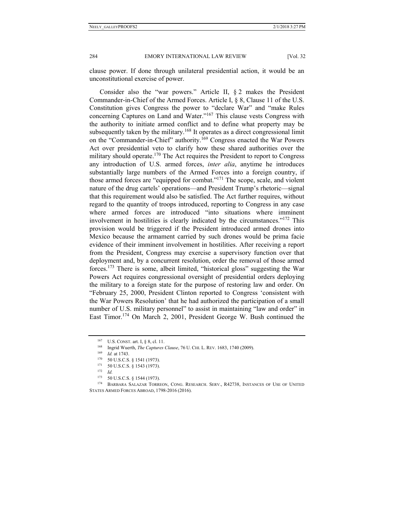clause power. If done through unilateral presidential action, it would be an unconstitutional exercise of power.

Consider also the "war powers." Article II, § 2 makes the President Commander-in-Chief of the Armed Forces. Article I, § 8, Clause 11 of the U.S. Constitution gives Congress the power to "declare War" and "make Rules concerning Captures on Land and Water."167 This clause vests Congress with the authority to initiate armed conflict and to define what property may be subsequently taken by the military.<sup>168</sup> It operates as a direct congressional limit on the "Commander-in-Chief" authority.<sup>169</sup> Congress enacted the War Powers Act over presidential veto to clarify how these shared authorities over the military should operate.<sup>170</sup> The Act requires the President to report to Congress any introduction of U.S. armed forces, *inter alia*, anytime he introduces substantially large numbers of the Armed Forces into a foreign country, if those armed forces are "equipped for combat."171 The scope, scale, and violent nature of the drug cartels' operations—and President Trump's rhetoric—signal that this requirement would also be satisfied. The Act further requires, without regard to the quantity of troops introduced, reporting to Congress in any case where armed forces are introduced "into situations where imminent involvement in hostilities is clearly indicated by the circumstances."172 This provision would be triggered if the President introduced armed drones into Mexico because the armament carried by such drones would be prima facie evidence of their imminent involvement in hostilities. After receiving a report from the President, Congress may exercise a supervisory function over that deployment and, by a concurrent resolution, order the removal of those armed forces.173 There is some, albeit limited, "historical gloss" suggesting the War Powers Act requires congressional oversight of presidential orders deploying the military to a foreign state for the purpose of restoring law and order. On "February 25, 2000, President Clinton reported to Congress 'consistent with the War Powers Resolution' that he had authorized the participation of a small number of U.S. military personnel" to assist in maintaining "law and order" in East Timor.<sup>174</sup> On March 2, 2001, President George W. Bush continued the

<sup>167</sup> U.S. CONST. art. I, § 8, cl. 11.<br>
<sup>168</sup> Ingrid Wuerth, *The Captures Clause*, 76 U. CHI. L. REV. 1683, 1740 (2009).<br> *Id.* at 1743.<br>
<sup>170</sup> 50 U.S.C.S. § 1541 (1973).<br>
<sup>171</sup> 50 U.S.C.S. § 1543 (1973).<br>
<sup>172</sup> *Id.*<br>
173

<sup>173 50</sup> U.S.C.S. § 1544 (1973).<br><sup>174</sup> BARBARA SALAZAR TORREON, CONG. RESEARCH. SERV., R42738, INSTANCES OF USE OF UNITED STATES ARMED FORCES ABROAD, 1798-2016 (2016).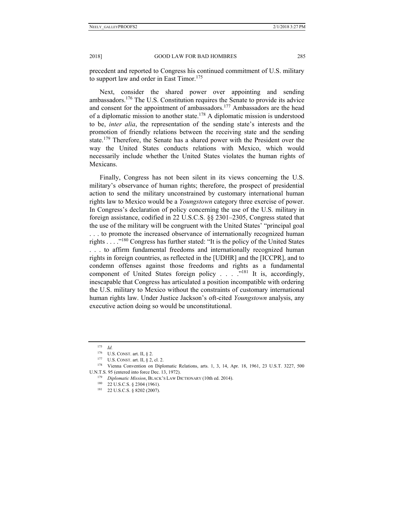precedent and reported to Congress his continued commitment of U.S. military to support law and order in East Timor.<sup>175</sup>

Next, consider the shared power over appointing and sending ambassadors.<sup>176</sup> The U.S. Constitution requires the Senate to provide its advice and consent for the appointment of ambassadors.<sup>177</sup> Ambassadors are the head of a diplomatic mission to another state.<sup>178</sup> A diplomatic mission is understood to be, *inter alia*, the representation of the sending state's interests and the promotion of friendly relations between the receiving state and the sending state.<sup>179</sup> Therefore, the Senate has a shared power with the President over the way the United States conducts relations with Mexico, which would necessarily include whether the United States violates the human rights of Mexicans.

Finally, Congress has not been silent in its views concerning the U.S. military's observance of human rights; therefore, the prospect of presidential action to send the military unconstrained by customary international human rights law to Mexico would be a *Youngstown* category three exercise of power. In Congress's declaration of policy concerning the use of the U.S. military in foreign assistance, codified in 22 U.S.C.S. §§ 2301–2305, Congress stated that the use of the military will be congruent with the United States' "principal goal . . . to promote the increased observance of internationally recognized human rights  $\dots$  ."<sup>180</sup> Congress has further stated: "It is the policy of the United States" . . . to affirm fundamental freedoms and internationally recognized human rights in foreign countries, as reflected in the [UDHR] and the [ICCPR], and to condemn offenses against those freedoms and rights as a fundamental component of United States foreign policy . . . . "<sup>181</sup> It is, accordingly, inescapable that Congress has articulated a position incompatible with ordering the U.S. military to Mexico without the constraints of customary international human rights law. Under Justice Jackson's oft-cited *Youngstown* analysis, any executive action doing so would be unconstitutional.

<sup>175</sup> *Id.*

<sup>176</sup> U.S. CONST. art. II, § 2.<br>177 U.S. CONST. art. II, § 2, cl. 2.<br>178 Vienna Convention on Diplomatic Relations, arts. 1, 3, 14, Apr. 18, 1961, 23 U.S.T. 3227, 500

U.N.T.S. 95 (entered into force Dec. 13, 1972). 179 *Diplomatic Mission*, BLACK'S LAW DICTIONARY (10th ed. 2014). 180 22 U.S.C.S. § 2304 (1961). 181 22 U.S.C.S. § 8202 (2007).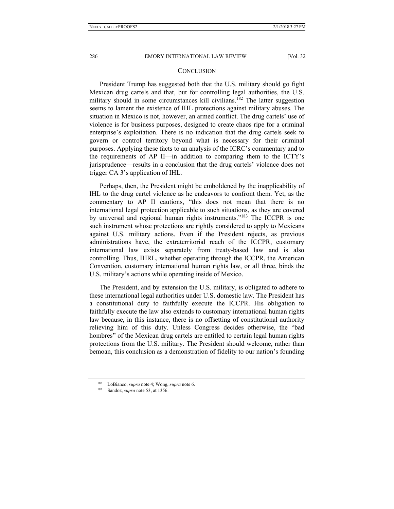#### **CONCLUSION**

President Trump has suggested both that the U.S. military should go fight Mexican drug cartels and that, but for controlling legal authorities, the U.S. military should in some circumstances kill civilians.<sup>182</sup> The latter suggestion seems to lament the existence of IHL protections against military abuses. The situation in Mexico is not, however, an armed conflict. The drug cartels' use of violence is for business purposes, designed to create chaos ripe for a criminal enterprise's exploitation. There is no indication that the drug cartels seek to govern or control territory beyond what is necessary for their criminal purposes. Applying these facts to an analysis of the ICRC's commentary and to the requirements of AP II—in addition to comparing them to the ICTY's jurisprudence—results in a conclusion that the drug cartels' violence does not trigger CA 3's application of IHL.

Perhaps, then, the President might be emboldened by the inapplicability of IHL to the drug cartel violence as he endeavors to confront them. Yet, as the commentary to AP II cautions, "this does not mean that there is no international legal protection applicable to such situations, as they are covered by universal and regional human rights instruments."183 The ICCPR is one such instrument whose protections are rightly considered to apply to Mexicans against U.S. military actions. Even if the President rejects, as previous administrations have, the extraterritorial reach of the ICCPR, customary international law exists separately from treaty-based law and is also controlling. Thus, IHRL, whether operating through the ICCPR, the American Convention, customary international human rights law, or all three, binds the U.S. military's actions while operating inside of Mexico.

The President, and by extension the U.S. military, is obligated to adhere to these international legal authorities under U.S. domestic law. The President has a constitutional duty to faithfully execute the ICCPR. His obligation to faithfully execute the law also extends to customary international human rights law because, in this instance, there is no offsetting of constitutional authority relieving him of this duty. Unless Congress decides otherwise, the "bad hombres" of the Mexican drug cartels are entitled to certain legal human rights protections from the U.S. military. The President should welcome, rather than bemoan, this conclusion as a demonstration of fidelity to our nation's founding

<sup>182</sup> LoBianco, *supra* note 4; Wong, *supra* note 6. 183 Sandoz, *supra* note 53, at 1356.